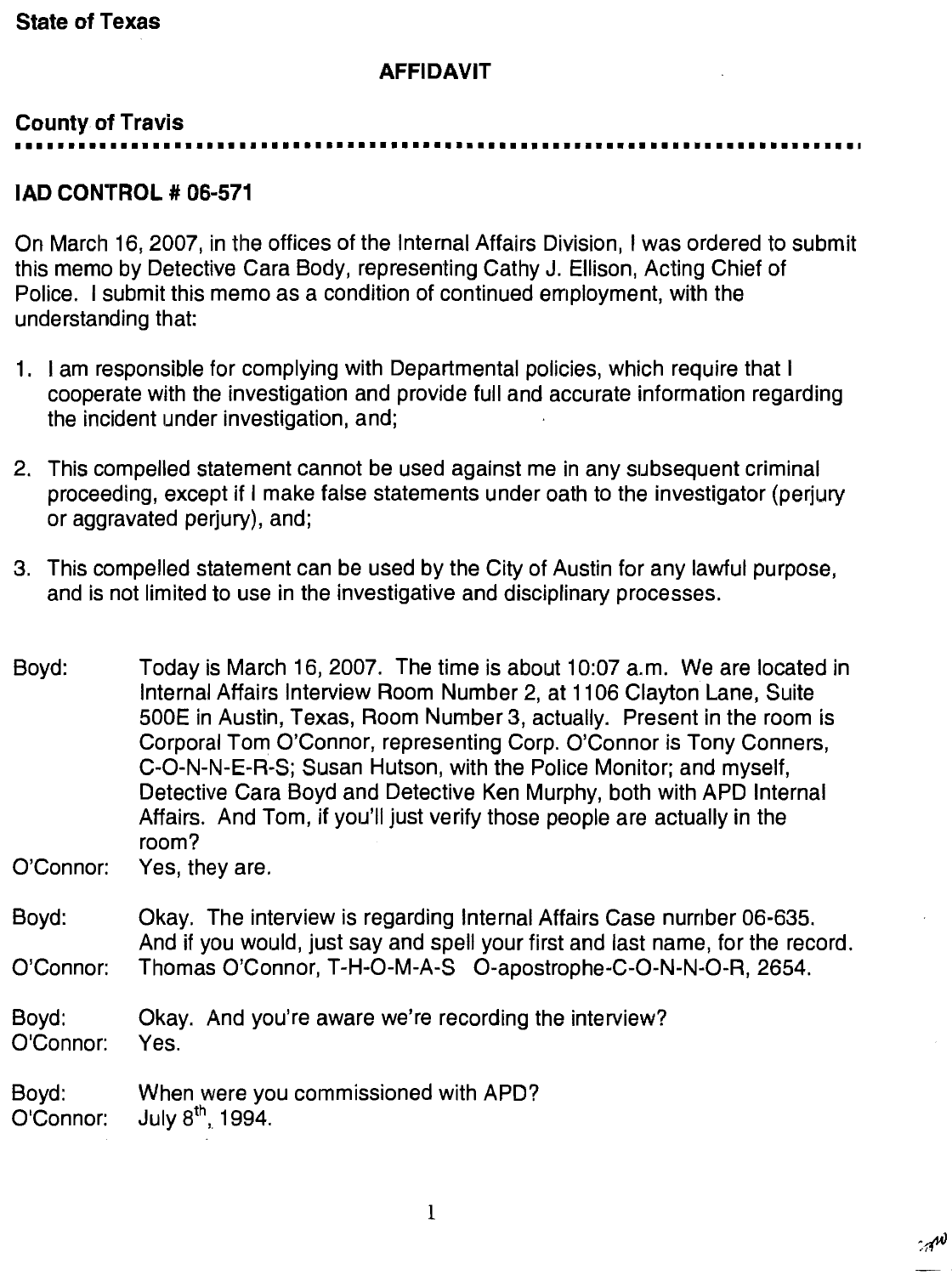### AFFIDAVIT

## **County of Travis**

■■ I 十■ I I I I 十 I 十■ I I I I I I I I I トト t 十十 I ■・ L I 十 L 十

# IAD CONTROL # 06-571

On March 16, 2007, in the offices of the Internal Affairs Division, I was ordered to submit this memo by Detective Cara Body, representing Cathy J. Ellison, Acting Chief of Police. I submit this memo as a condition of continued employment, with the understanding that

- 1. I am responsible for complying with Departmental policies, which require that I cooperate with the investigation and provide full and accurate information regarding the incident under investigation, and;
- This compelled statement cannot be used against me in any subsequent criminal proceeding, except if I make false statements under oath to the investigator (perjury or aggravated perjury), and;
- This compelled statement can be used by the City of Austin for any lawful purpose, and is not limited to use in the investigative and disciplinary processes.

Boyd: Today is March 16, 2007. The time is about 10:07 a.m. We are located in Internal Affairs Interview Room Number 2, at 1106 Clayton Lane, Suite 500E in Austin, Texas, Room Number 3, actually. Present in the room is Corporal Tom O'Connor, representing Corp. O'Connor is Tony Conners, C-0-N-N-E-R-S; Susan Hutson, with the Police Monitor; and myself, Detective Cara Boyd and Detective Ken Murphy, both with APD Internal Affairs. And Tom, if you'll just verify those people are actually in the room?

O'Connor: Yes, they are

- Boyd: Okay. The interview is regarding Internal Affairs Case number 06-635. And if you would, just say and spell your first and last name, for the record O'Connor: Thomas O'Connor, T-H-O-M-A-S O-apostrophe-C-O-N-N-O-R, 2654.
- Boyd: Okay. And you're aware we're recording the interview? O'Connor: Yes.

Boyd: When were you commissioned with APD?  $O'$ Connor: July  $8<sup>th</sup>$ , 1994.

 $\cdot \pi^{\prime \prime}$  $\frac{1}{2}$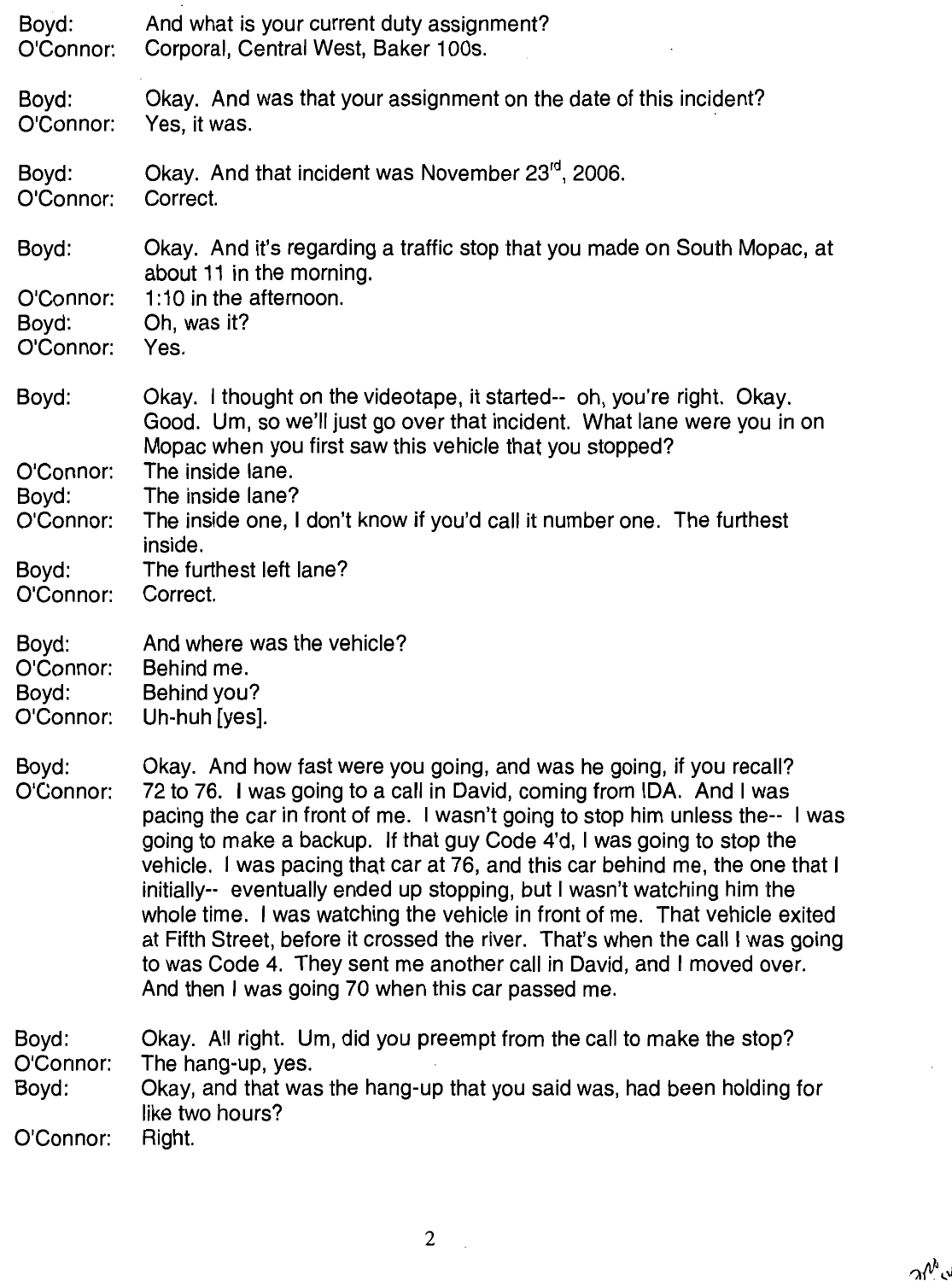| Boyd:                                    | And what is your current duty assignment?                                                                                                                                                                                                                                                                                                                                                                                                                                                                                                                                                                                                                                                                                                                   |
|------------------------------------------|-------------------------------------------------------------------------------------------------------------------------------------------------------------------------------------------------------------------------------------------------------------------------------------------------------------------------------------------------------------------------------------------------------------------------------------------------------------------------------------------------------------------------------------------------------------------------------------------------------------------------------------------------------------------------------------------------------------------------------------------------------------|
| O'Connor:                                | Corporal, Central West, Baker 100s.                                                                                                                                                                                                                                                                                                                                                                                                                                                                                                                                                                                                                                                                                                                         |
| Boyd:                                    | Okay. And was that your assignment on the date of this incident?                                                                                                                                                                                                                                                                                                                                                                                                                                                                                                                                                                                                                                                                                            |
| O'Connor:                                | Yes, it was.                                                                                                                                                                                                                                                                                                                                                                                                                                                                                                                                                                                                                                                                                                                                                |
| Boyd:                                    | Okay. And that incident was November 23 <sup>rd</sup> , 2006.                                                                                                                                                                                                                                                                                                                                                                                                                                                                                                                                                                                                                                                                                               |
| O'Connor:                                | Correct.                                                                                                                                                                                                                                                                                                                                                                                                                                                                                                                                                                                                                                                                                                                                                    |
| Boyd:                                    | Okay. And it's regarding a traffic stop that you made on South Mopac, at<br>about 11 in the morning.                                                                                                                                                                                                                                                                                                                                                                                                                                                                                                                                                                                                                                                        |
| O'Connor:                                | 1:10 in the afternoon.                                                                                                                                                                                                                                                                                                                                                                                                                                                                                                                                                                                                                                                                                                                                      |
| Boyd:                                    | Oh, was it?                                                                                                                                                                                                                                                                                                                                                                                                                                                                                                                                                                                                                                                                                                                                                 |
| O'Connor:                                | Yes.                                                                                                                                                                                                                                                                                                                                                                                                                                                                                                                                                                                                                                                                                                                                                        |
| Boyd:<br>O'Connor:<br>Boyd:              | Okay. I thought on the videotape, it started-- oh, you're right. Okay.<br>Good. Um, so we'll just go over that incident. What lane were you in on<br>Mopac when you first saw this vehicle that you stopped?<br>The inside lane.<br>The inside lane?                                                                                                                                                                                                                                                                                                                                                                                                                                                                                                        |
| O'Connor:                                | The inside one, I don't know if you'd call it number one. The furthest<br>inside.                                                                                                                                                                                                                                                                                                                                                                                                                                                                                                                                                                                                                                                                           |
| Boyd:                                    | The furthest left lane?                                                                                                                                                                                                                                                                                                                                                                                                                                                                                                                                                                                                                                                                                                                                     |
| O'Connor:                                | Correct.                                                                                                                                                                                                                                                                                                                                                                                                                                                                                                                                                                                                                                                                                                                                                    |
| Boyd:                                    | And where was the vehicle?                                                                                                                                                                                                                                                                                                                                                                                                                                                                                                                                                                                                                                                                                                                                  |
| O'Connor:                                | Behind me.                                                                                                                                                                                                                                                                                                                                                                                                                                                                                                                                                                                                                                                                                                                                                  |
| Boyd:                                    | Behind you?                                                                                                                                                                                                                                                                                                                                                                                                                                                                                                                                                                                                                                                                                                                                                 |
| O'Connor:                                | Uh-huh [yes].                                                                                                                                                                                                                                                                                                                                                                                                                                                                                                                                                                                                                                                                                                                                               |
| Boyd:<br>O'Connor:                       | Okay. And how fast were you going, and was he going, if you recall?<br>72 to 76. I was going to a call in David, coming from IDA. And I was<br>pacing the car in front of me. I wasn't going to stop him unless the-- I was<br>going to make a backup. If that guy Code 4'd, I was going to stop the<br>vehicle. I was pacing that car at 76, and this car behind me, the one that I<br>initially-- eventually ended up stopping, but I wasn't watching him the<br>whole time. I was watching the vehicle in front of me. That vehicle exited<br>at Fifth Street, before it crossed the river. That's when the call I was going<br>to was Code 4. They sent me another call in David, and I moved over.<br>And then I was going 70 when this car passed me. |
| Boyd:<br>O'Connor:<br>Boyd:<br>O'Connor: | Okay. All right. Um, did you preempt from the call to make the stop?<br>The hang-up, yes.<br>Okay, and that was the hang-up that you said was, had been holding for<br>like two hours?<br>Right.                                                                                                                                                                                                                                                                                                                                                                                                                                                                                                                                                            |

 $\overline{c}$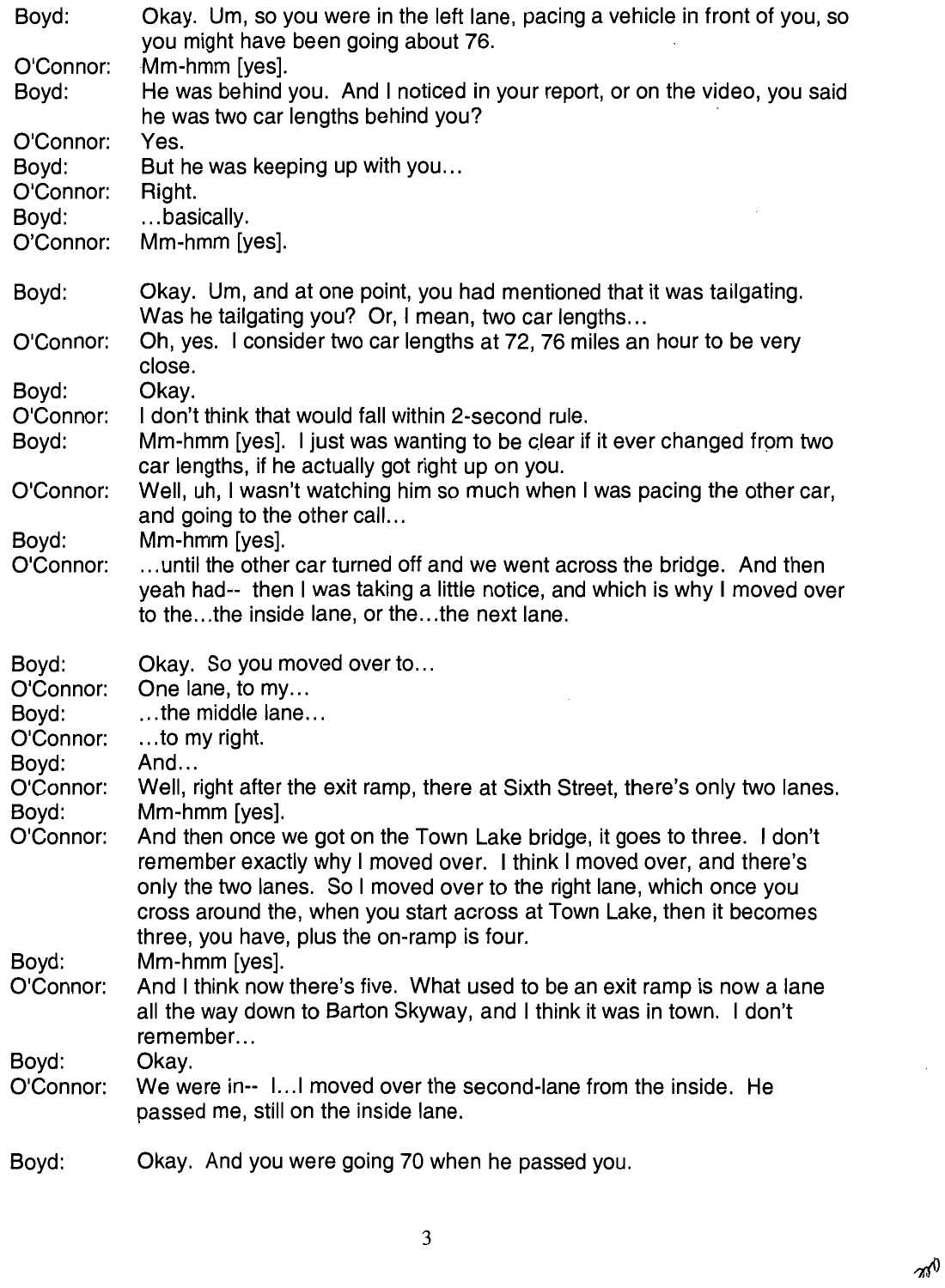| Boyd:                           | Okay. Um, so you were in the left lane, pacing a vehicle in front of you, so<br>you might have been going about 76.                                                                                                                                                                                                                             |
|---------------------------------|-------------------------------------------------------------------------------------------------------------------------------------------------------------------------------------------------------------------------------------------------------------------------------------------------------------------------------------------------|
| O'Connor:<br>Boyd:              | Mm-hmm [yes].<br>He was behind you. And I noticed in your report, or on the video, you said<br>he was two car lengths behind you?                                                                                                                                                                                                               |
| O'Connor:<br>Boyd:<br>O'Connor: | Yes.<br>But he was keeping up with you                                                                                                                                                                                                                                                                                                          |
| Boyd:<br>O'Connor:              | Right.<br>basically.<br>Mm-hmm [yes].                                                                                                                                                                                                                                                                                                           |
| Boyd:                           | Okay. Um, and at one point, you had mentioned that it was tailgating.<br>Was he tailgating you? Or, I mean, two car lengths                                                                                                                                                                                                                     |
| O'Connor:                       | Oh, yes. I consider two car lengths at 72, 76 miles an hour to be very<br>close.                                                                                                                                                                                                                                                                |
| Boyd:<br>O'Connor:<br>Boyd:     | Okay.<br>I don't think that would fall within 2-second rule.<br>Mm-hmm [yes]. I just was wanting to be clear if it ever changed from two<br>car lengths, if he actually got right up on you.                                                                                                                                                    |
| O'Connor:                       | Well, uh, I wasn't watching him so much when I was pacing the other car,<br>and going to the other call                                                                                                                                                                                                                                         |
| Boyd:<br>O'Connor:              | Mm-hmm [yes].<br>until the other car turned off and we went across the bridge. And then<br>yeah had-- then I was taking a little notice, and which is why I moved over<br>to thethe inside lane, or thethe next lane.                                                                                                                           |
| Boyd:<br>O'Connor:              | Okay. So you moved over to<br>One lane, to my                                                                                                                                                                                                                                                                                                   |
| Boyd:<br>O'Connor:              | $$ the middle lane<br>to my right.                                                                                                                                                                                                                                                                                                              |
| Boyd:<br>O'Connor:<br>Boyd:     | And<br>Well, right after the exit ramp, there at Sixth Street, there's only two lanes.<br>Mm-hmm [yes].                                                                                                                                                                                                                                         |
| O'Connor:                       | And then once we got on the Town Lake bridge, it goes to three. I don't<br>remember exactly why I moved over. I think I moved over, and there's<br>only the two lanes. So I moved over to the right lane, which once you<br>cross around the, when you start across at Town Lake, then it becomes<br>three, you have, plus the on-ramp is four. |
| Boyd:<br>O'Connor:              | Mm-hmm [yes].<br>And I think now there's five. What used to be an exit ramp is now a lane<br>all the way down to Barton Skyway, and I think it was in town. I don't<br>remember                                                                                                                                                                 |
| Boyd:<br>O'Connor:              | Okay.<br>We were in-- 1 I moved over the second-lane from the inside. He<br>passed me, still on the inside lane.                                                                                                                                                                                                                                |
| Bovd:                           | Okay. And you were going 70 when he passed you.                                                                                                                                                                                                                                                                                                 |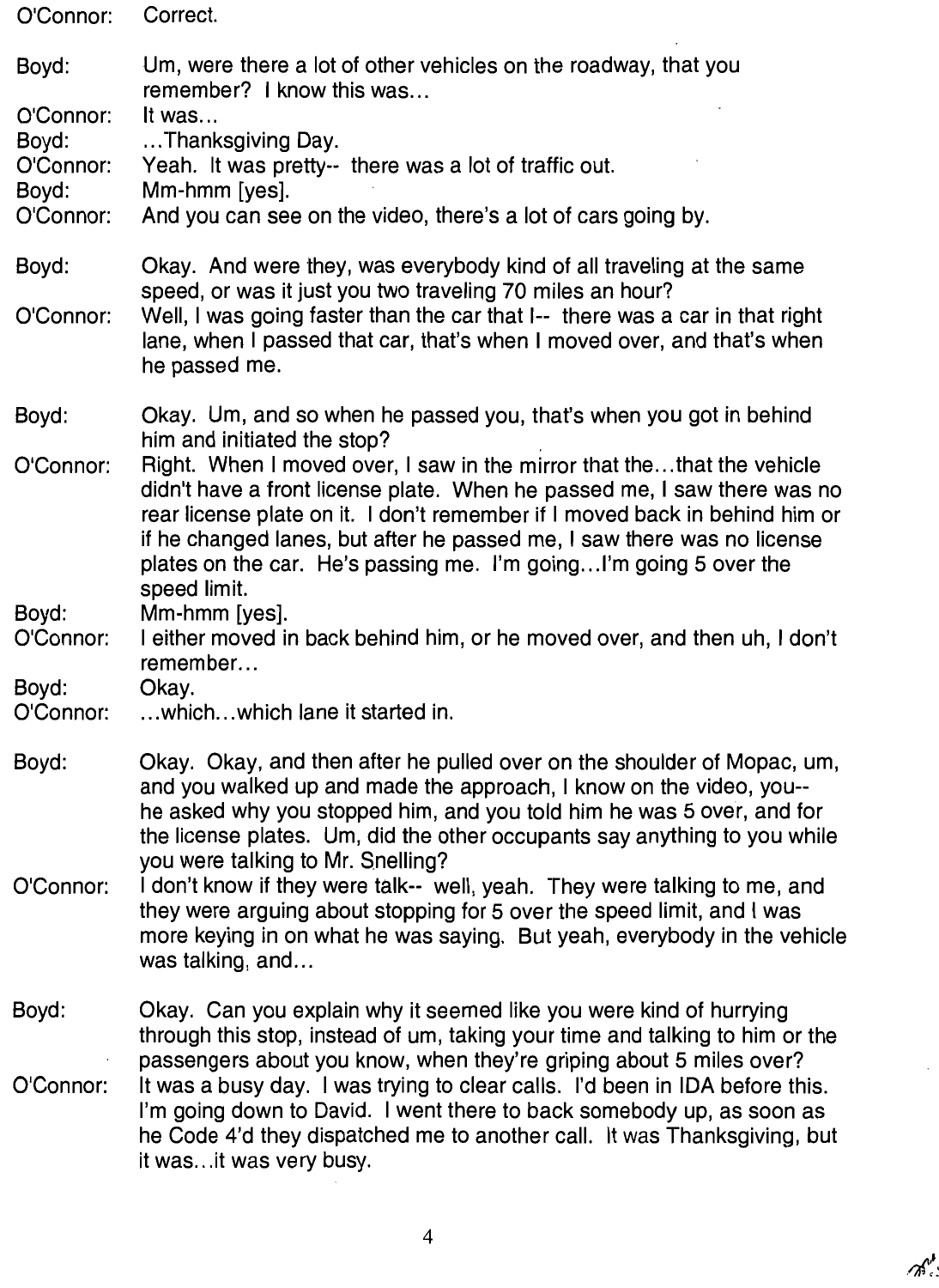| O'Connor:                                                      | Correct.                                                                                                                                                                                                                                                                                                                                                                                                                                                                                                                                                                                         |
|----------------------------------------------------------------|--------------------------------------------------------------------------------------------------------------------------------------------------------------------------------------------------------------------------------------------------------------------------------------------------------------------------------------------------------------------------------------------------------------------------------------------------------------------------------------------------------------------------------------------------------------------------------------------------|
| Boyd:<br>O'Connor:<br>Boyd:<br>O'Connor:<br>Boyd:<br>O'Connor: | Um, were there a lot of other vehicles on the roadway, that you<br>remember? I know this was<br>It was<br>Thanksgiving Day.<br>Yeah. It was pretty-- there was a lot of traffic out.<br>Mm-hmm [yes].<br>And you can see on the video, there's a lot of cars going by.                                                                                                                                                                                                                                                                                                                           |
| Boyd:<br>O'Connor:                                             | Okay. And were they, was everybody kind of all traveling at the same<br>speed, or was it just you two traveling 70 miles an hour?<br>Well, I was going faster than the car that I-- there was a car in that right<br>lane, when I passed that car, that's when I moved over, and that's when<br>he passed me.                                                                                                                                                                                                                                                                                    |
| Boyd:<br>O'Connor:                                             | Okay. Um, and so when he passed you, that's when you got in behind<br>him and initiated the stop?<br>Right. When I moved over, I saw in the mirror that thethat the vehicle<br>didn't have a front license plate. When he passed me, I saw there was no<br>rear license plate on it. I don't remember if I moved back in behind him or<br>if he changed lanes, but after he passed me, I saw there was no license<br>plates on the car. He's passing me. I'm goingI'm going 5 over the<br>speed limit.                                                                                           |
| Boyd:<br>O'Connor:<br>Boyd:<br>O'Connor:                       | Mm-hmm [yes].<br>I either moved in back behind him, or he moved over, and then uh, I don't<br>remember<br>Okay.<br>which which lane it started in.                                                                                                                                                                                                                                                                                                                                                                                                                                               |
| Boyd:<br>O'Connor:                                             | Okay. Okay, and then after he pulled over on the shoulder of Mopac, um,<br>and you walked up and made the approach, I know on the video, you--<br>he asked why you stopped him, and you told him he was 5 over, and for<br>the license plates. Um, did the other occupants say anything to you while<br>you were talking to Mr. Snelling?<br>I don't know if they were talk-- well, yeah. They were talking to me, and<br>they were arguing about stopping for 5 over the speed limit, and I was<br>more keying in on what he was saying. But yeah, everybody in the vehicle<br>was talking, and |
| Boyd:<br>O'Connor:                                             | Okay. Can you explain why it seemed like you were kind of hurrying<br>through this stop, instead of um, taking your time and talking to him or the<br>passengers about you know, when they're griping about 5 miles over?<br>It was a busy day. I was trying to clear calls. I'd been in IDA before this.<br>I'm going down to David. I went there to back somebody up, as soon as<br>he Code 4'd they dispatched me to another call. It was Thanksgiving, but<br>it was it was very busy.                                                                                                       |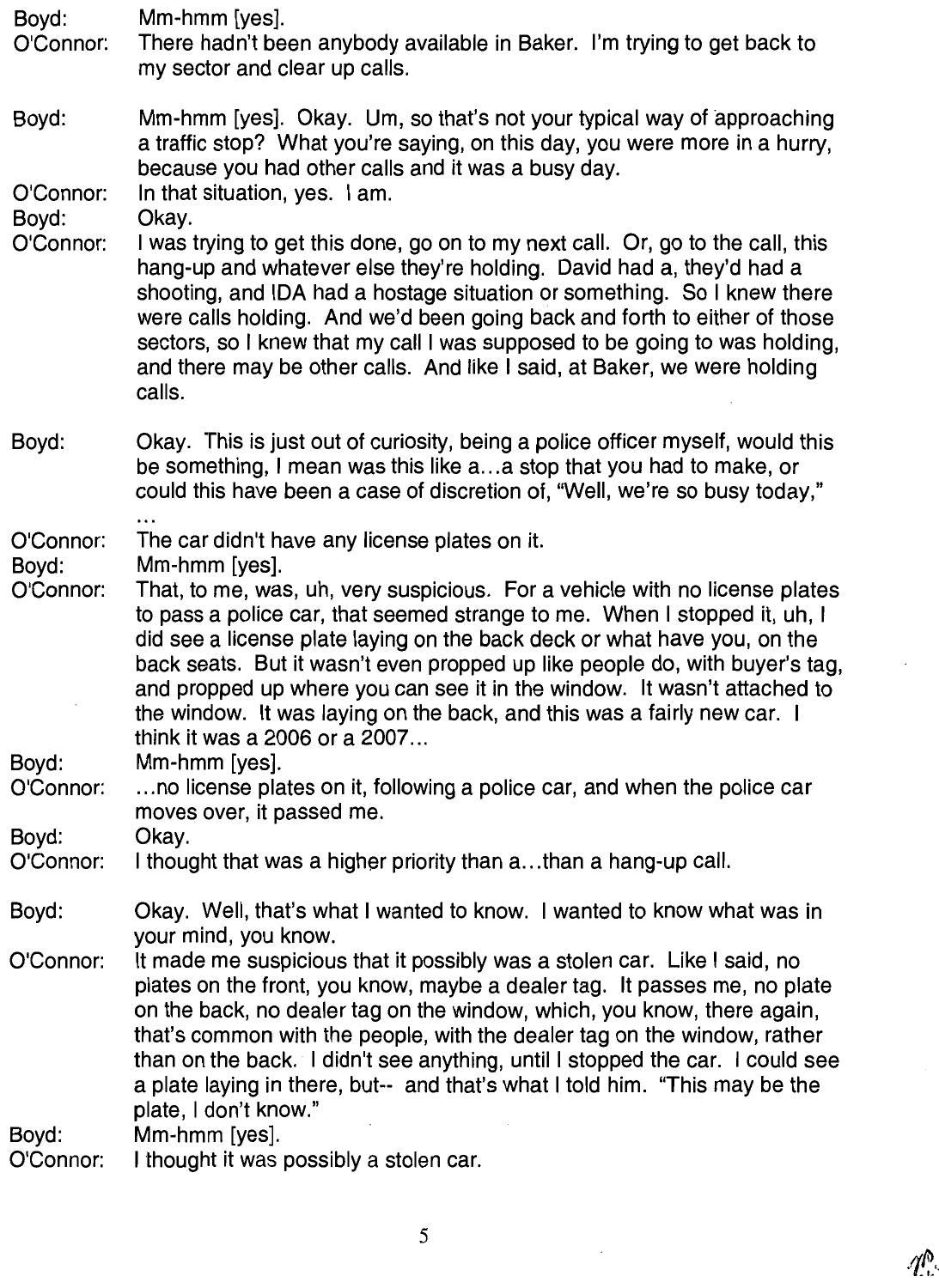| Boyd:<br>O'Connor: | Mm-hmm [yes].<br>There hadn't been anybody available in Baker. I'm trying to get back to<br>my sector and clear up calls.                                                                                                                                                                                                                                                                                                                                                                                   |
|--------------------|-------------------------------------------------------------------------------------------------------------------------------------------------------------------------------------------------------------------------------------------------------------------------------------------------------------------------------------------------------------------------------------------------------------------------------------------------------------------------------------------------------------|
| Boyd:<br>O'Connor: | Mm-hmm [yes]. Okay. Um, so that's not your typical way of approaching<br>a traffic stop? What you're saying, on this day, you were more in a hurry,<br>because you had other calls and it was a busy day.<br>In that situation, yes. I am.                                                                                                                                                                                                                                                                  |
| Boyd:<br>O'Connor: | Okay.<br>I was trying to get this done, go on to my next call. Or, go to the call, this<br>hang-up and whatever else they're holding. David had a, they'd had a<br>shooting, and IDA had a hostage situation or something. So I knew there<br>were calls holding. And we'd been going back and forth to either of those<br>sectors, so I knew that my call I was supposed to be going to was holding,<br>and there may be other calls. And like I said, at Baker, we were holding<br>calls.                 |
| Boyd:              | Okay. This is just out of curiosity, being a police officer myself, would this<br>be something, I mean was this like a a stop that you had to make, or<br>could this have been a case of discretion of, "Well, we're so busy today,"                                                                                                                                                                                                                                                                        |
| O'Connor:<br>Boyd: | The car didn't have any license plates on it.<br>Mm-hmm [yes].                                                                                                                                                                                                                                                                                                                                                                                                                                              |
| O'Connor:          | That, to me, was, uh, very suspicious. For a vehicle with no license plates<br>to pass a police car, that seemed strange to me. When I stopped it, uh, I<br>did see a license plate laying on the back deck or what have you, on the<br>back seats. But it wasn't even propped up like people do, with buyer's tag,<br>and propped up where you can see it in the window. It wasn't attached to<br>the window. It was laying on the back, and this was a fairly new car. I<br>think it was a 2006 or a 2007 |
| Boyd:<br>O'Connor: | Mm-hmm [yes].<br>no license plates on it, following a police car, and when the police car<br>moves over, it passed me.                                                                                                                                                                                                                                                                                                                                                                                      |
| Boyd:<br>O'Connor: | Okay.<br>I thought that was a higher priority than athan a hang-up call.                                                                                                                                                                                                                                                                                                                                                                                                                                    |
| Boyd:              | Okay. Well, that's what I wanted to know. I wanted to know what was in<br>your mind, you know.                                                                                                                                                                                                                                                                                                                                                                                                              |
| O'Connor:          | It made me suspicious that it possibly was a stolen car. Like I said, no<br>plates on the front, you know, maybe a dealer tag. It passes me, no plate<br>on the back, no dealer tag on the window, which, you know, there again,<br>that's common with the people, with the dealer tag on the window, rather<br>than on the back. I didn't see anything, until I stopped the car. I could see<br>a plate laying in there, but-- and that's what I told him. "This may be the<br>plate, I don't know."       |
| Boyd:              | Mm-hmm [yes].                                                                                                                                                                                                                                                                                                                                                                                                                                                                                               |

O'Connor: I thought it was possibly a stolen car.

 $\epsilon$ 

 $\bar{z}$ 

 $\mathscr{N}$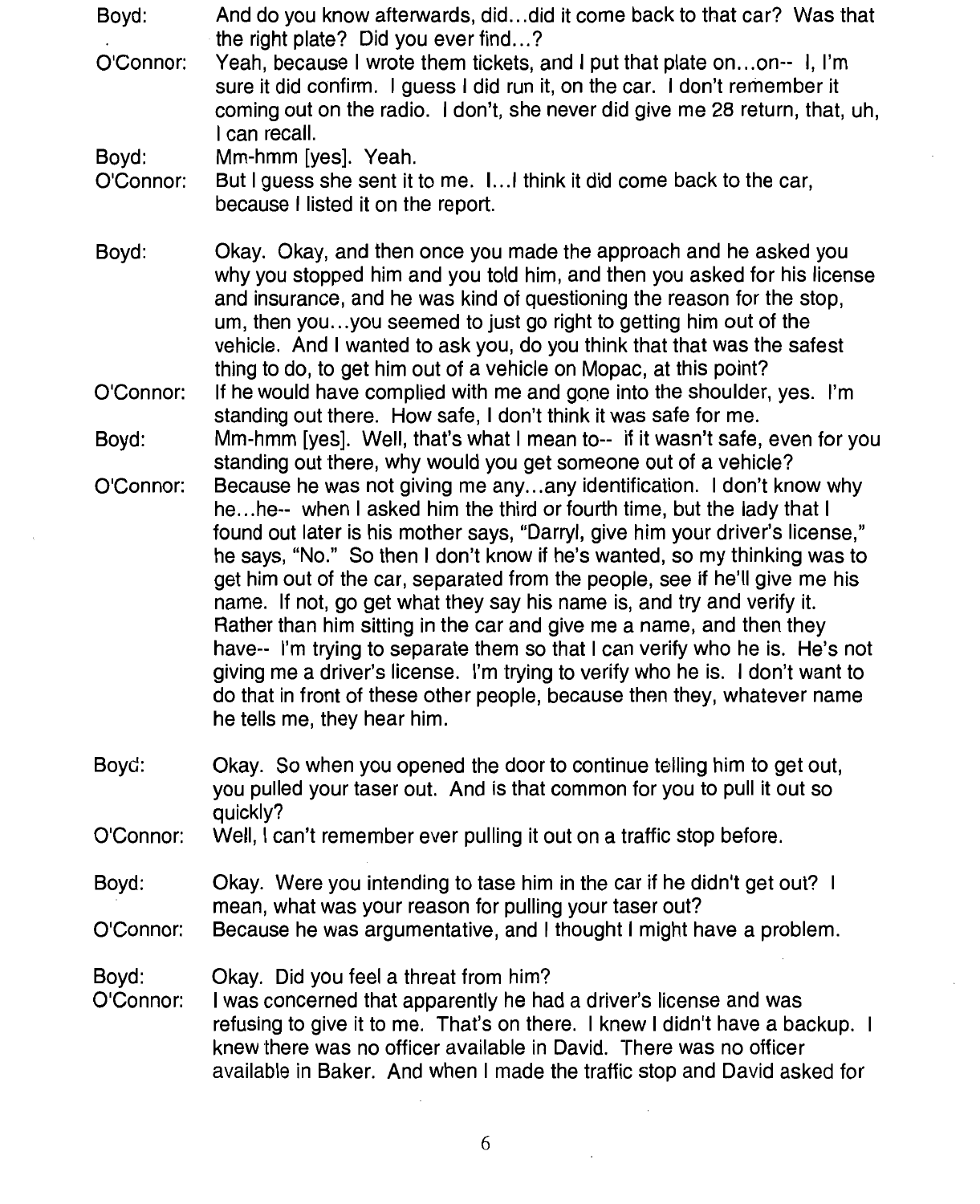| Boyd:<br>O'Connor: | And do you know afterwards, diddid it come back to that car? Was that<br>the right plate? Did you ever find?<br>Yeah, because I wrote them tickets, and I put that plate onon-- I, I'm<br>sure it did confirm. I guess I did run it, on the car. I don't remember it<br>coming out on the radio. I don't, she never did give me 28 return, that, uh,<br>I can recall.                                                                                                                                                                                                                                                                                                                                                                                                                                                   |
|--------------------|-------------------------------------------------------------------------------------------------------------------------------------------------------------------------------------------------------------------------------------------------------------------------------------------------------------------------------------------------------------------------------------------------------------------------------------------------------------------------------------------------------------------------------------------------------------------------------------------------------------------------------------------------------------------------------------------------------------------------------------------------------------------------------------------------------------------------|
| Boyd:<br>O'Connor: | Mm-hmm [yes]. Yeah.<br>But I guess she sent it to me. I I think it did come back to the car,<br>because I listed it on the report.                                                                                                                                                                                                                                                                                                                                                                                                                                                                                                                                                                                                                                                                                      |
| Boyd:              | Okay. Okay, and then once you made the approach and he asked you<br>why you stopped him and you told him, and then you asked for his license<br>and insurance, and he was kind of questioning the reason for the stop,<br>um, then youyou seemed to just go right to getting him out of the<br>vehicle. And I wanted to ask you, do you think that that was the safest<br>thing to do, to get him out of a vehicle on Mopac, at this point?                                                                                                                                                                                                                                                                                                                                                                             |
| O'Connor:          | If he would have complied with me and gone into the shoulder, yes. I'm<br>standing out there. How safe, I don't think it was safe for me.                                                                                                                                                                                                                                                                                                                                                                                                                                                                                                                                                                                                                                                                               |
| Boyd:              | Mm-hmm [yes]. Well, that's what I mean to-- if it wasn't safe, even for you<br>standing out there, why would you get someone out of a vehicle?                                                                                                                                                                                                                                                                                                                                                                                                                                                                                                                                                                                                                                                                          |
| O'Connor:          | Because he was not giving me anyany identification. I don't know why<br>hehe-- when I asked him the third or fourth time, but the lady that I<br>found out later is his mother says, "Darryl, give him your driver's license,"<br>he says, "No." So then I don't know if he's wanted, so my thinking was to<br>get him out of the car, separated from the people, see if he'll give me his<br>name. If not, go get what they say his name is, and try and verify it.<br>Rather than him sitting in the car and give me a name, and then they<br>have-- I'm trying to separate them so that I can verify who he is. He's not<br>giving me a driver's license. I'm trying to verify who he is. I don't want to<br>do that in front of these other people, because then they, whatever name<br>he tells me, they hear him. |
| Boyd:              | Okay. So when you opened the door to continue telling him to get out,<br>you pulled your taser out. And is that common for you to pull it out so<br>quickly?                                                                                                                                                                                                                                                                                                                                                                                                                                                                                                                                                                                                                                                            |
| O'Connor:          | Well, I can't remember ever pulling it out on a traffic stop before.                                                                                                                                                                                                                                                                                                                                                                                                                                                                                                                                                                                                                                                                                                                                                    |
| Boyd:              | Okay. Were you intending to tase him in the car if he didn't get out? I                                                                                                                                                                                                                                                                                                                                                                                                                                                                                                                                                                                                                                                                                                                                                 |
| O'Connor:          | mean, what was your reason for pulling your taser out?<br>Because he was argumentative, and I thought I might have a problem.                                                                                                                                                                                                                                                                                                                                                                                                                                                                                                                                                                                                                                                                                           |
| Boyd:<br>O'Connor: | Okay. Did you feel a threat from him?<br>I was concerned that apparently he had a driver's license and was<br>refusing to give it to me. That's on there. I knew I didn't have a backup. I<br>knew there was no officer available in David. There was no officer<br>available in Baker. And when I made the traffic stop and David asked for                                                                                                                                                                                                                                                                                                                                                                                                                                                                            |

 $\cdot$ 

 $\mathcal{A}$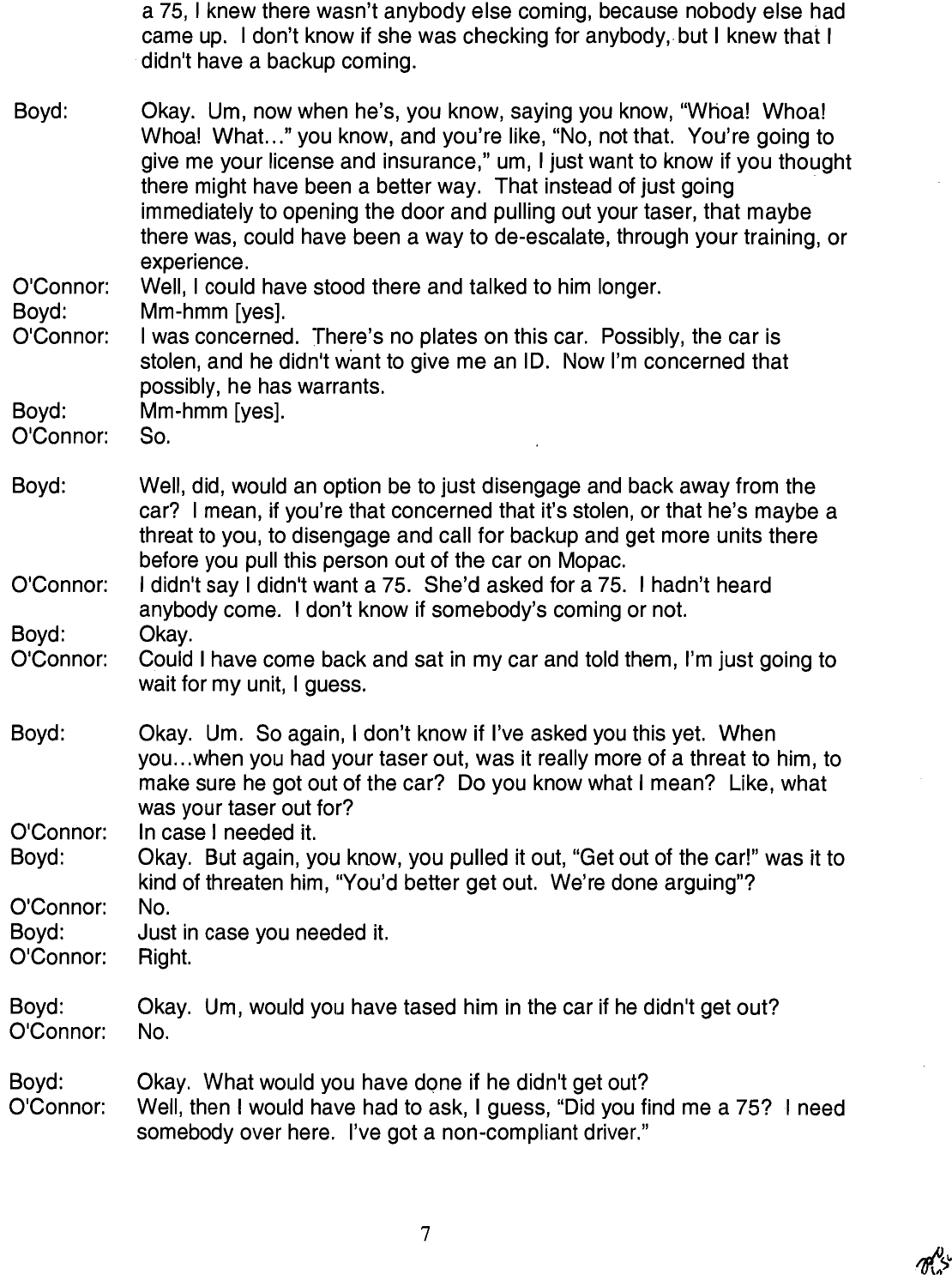a 75, I knew there wasn't anybody else coming, because nobody else had came up. I don't know if she was checking for anybody, but I knew that I didn't have a backup coming.

Boyd: Okay. Um, now when he's, you know, saying you know, "Whoa! Whoa! Whoa! What..." you know, and you're like, "No, not that. You're going to give me your license and insurance," um, I just want to know if you thought there might have been a better way. That instead of just going immediately to opening the door and pulling out your taser, that maybe there was, could have been a way to de-escalate, through your training, or experience.

Well. I could have stood there and talked to him longer. O'Connor: Boyd: Mm-hmm [yes].

O'Connor: I was concerned. There's no plates on this car. Possibly, the car is stolen, and he didn't want to give me an ID. Now I'm concerned that possibly, he has warrants.

Bovd: Mm-hmm [yes].

O'Connor: So.

- Boyd: Well, did, would an option be to just disengage and back away from the car? I mean, if you're that concerned that it's stolen, or that he's maybe a threat to you, to disengage and call for backup and get more units there before you pull this person out of the car on Mopac.
- I didn't say I didn't want a 75. She'd asked for a 75. I hadn't heard O'Connor: anybody come. I don't know if somebody's coming or not. Bovd: Okav.
- O'Connor: Could I have come back and sat in my car and told them. I'm just going to wait for my unit, I guess.
- Boyd: Okay. Um. So again, I don't know if I've asked you this yet. When you...when you had your taser out, was it really more of a threat to him, to make sure he got out of the car? Do you know what I mean? Like, what was your taser out for?

O'Connor: In case I needed it.

Okay. But again, you know, you pulled it out, "Get out of the car!" was it to Boyd: kind of threaten him, "You'd better get out. We're done arguing"? O'Connor: No.

Bovd: Just in case you needed it.

- O'Connor: Right.
- Boyd: Okay. Um, would you have tased him in the car if he didn't get out? O'Connor: No.
- Boyd: Okay. What would you have done if he didn't get out? Well, then I would have had to ask, I quess, "Did you find me a 75? I need O'Connor: somebody over here. I've got a non-compliant driver."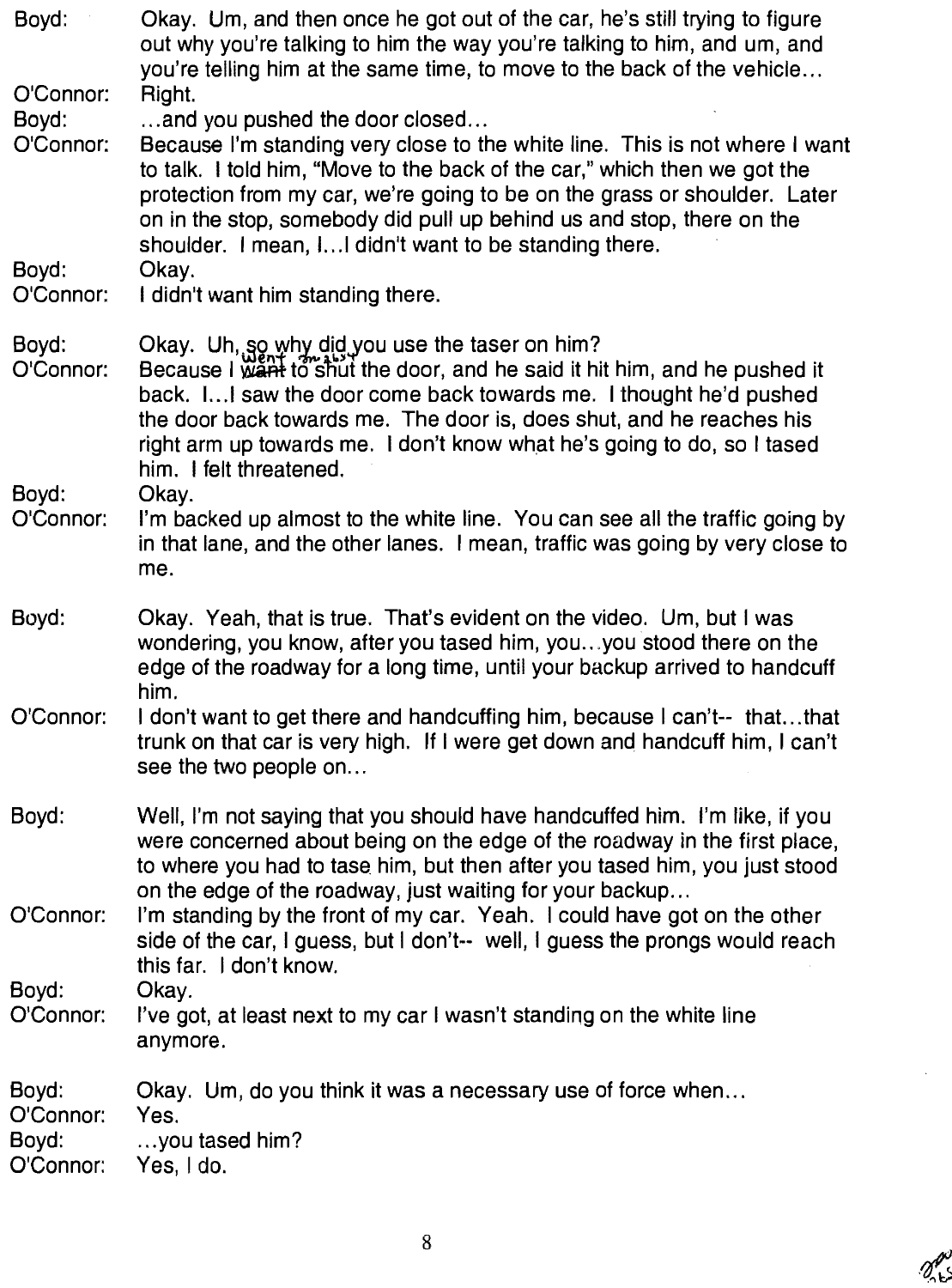| Boyd:                                    | Okay. Um, and then once he got out of the car, he's still trying to figure<br>out why you're talking to him the way you're talking to him, and um, and<br>you're telling him at the same time, to move to the back of the vehicle                                                                                                                                                                                              |
|------------------------------------------|--------------------------------------------------------------------------------------------------------------------------------------------------------------------------------------------------------------------------------------------------------------------------------------------------------------------------------------------------------------------------------------------------------------------------------|
| O'Connor:<br>Boyd:<br>O'Connor:<br>Boyd: | Right.<br>and you pushed the door closed<br>Because I'm standing very close to the white line. This is not where I want<br>to talk. I told him, "Move to the back of the car," which then we got the<br>protection from my car, we're going to be on the grass or shoulder. Later<br>on in the stop, somebody did pull up behind us and stop, there on the<br>shoulder. I mean, I I didn't want to be standing there.<br>Okay. |
| O'Connor:                                | I didn't want him standing there.                                                                                                                                                                                                                                                                                                                                                                                              |
| Boyd:<br>O'Connor:<br>Boyd:              | Okay. Uh, so why did you use the taser on him?<br>Because I want to shut the door, and he said it hit him, and he pushed it<br>back. I I saw the door come back towards me. I thought he'd pushed<br>the door back towards me. The door is, does shut, and he reaches his<br>right arm up towards me. I don't know what he's going to do, so I tased<br>him. I felt threatened.<br>Okay.                                       |
| O'Connor:                                | I'm backed up almost to the white line. You can see all the traffic going by<br>in that lane, and the other lanes. I mean, traffic was going by very close to<br>me.                                                                                                                                                                                                                                                           |
| Boyd:                                    | Okay. Yeah, that is true. That's evident on the video. Um, but I was<br>wondering, you know, after you tased him, youyou stood there on the<br>edge of the roadway for a long time, until your backup arrived to handcuff<br>him.                                                                                                                                                                                              |
| O'Connor:                                | I don't want to get there and handcuffing him, because I can't-- thatthat<br>trunk on that car is very high. If I were get down and handcuff him, I can't<br>see the two people on                                                                                                                                                                                                                                             |
| Boyd:                                    | Well, I'm not saying that you should have handcuffed him. I'm like, if you<br>were concerned about being on the edge of the roadway in the first place,<br>to where you had to tase him, but then after you tased him, you just stood<br>on the edge of the roadway, just waiting for your backup                                                                                                                              |
| O'Connor:                                | I'm standing by the front of my car. Yeah. I could have got on the other<br>side of the car, I guess, but I don't-- well, I guess the prongs would reach<br>this far. I don't know.                                                                                                                                                                                                                                            |
| Boyd:<br>O'Connor:                       | Okay.<br>I've got, at least next to my car I wasn't standing on the white line<br>anymore.                                                                                                                                                                                                                                                                                                                                     |
| Boyd:<br>O'Connor:<br>Boyd:<br>O'Connor: | Okay. Um, do you think it was a necessary use of force when<br>Yes.<br>you tased him?<br>Yes, I do.                                                                                                                                                                                                                                                                                                                            |

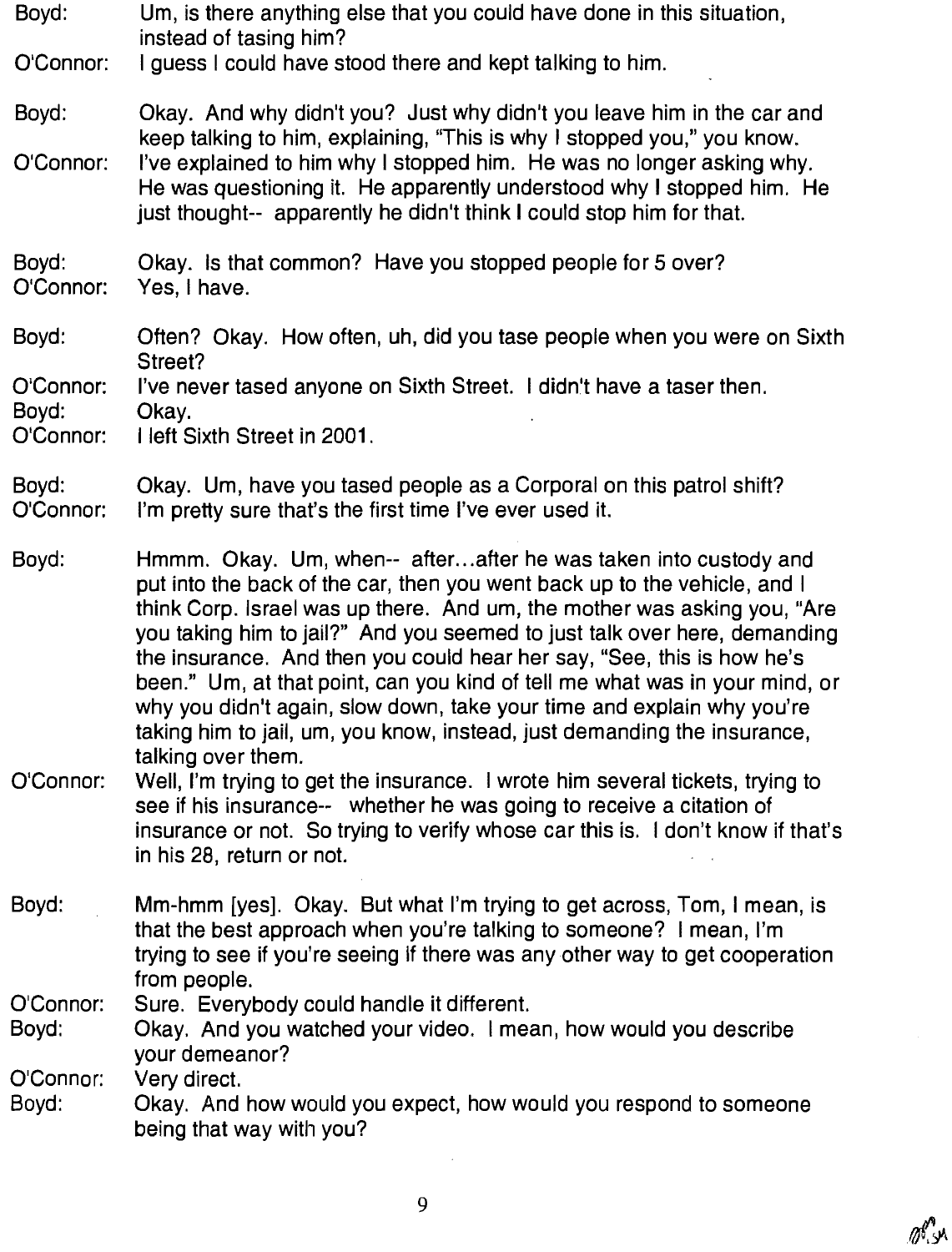Boyd: Um, is there anything else that you could have done in this situation, instead of tasing him?

O'Connor I guess I could have stood there and kept talking to him.

Boyd: O'Connor Okay. And why didn't you? Just why didn't you leave him in the car and keep talking to him, explaining, "This is why I stopped you," you know. 1've explained to him why I stopped him. He was no longer asking why. He was questioning it. He apparently understood why I stopped him. He just thought-- apparently he didn't think I could stop him for that.

Boyd: O'Connor: Okay. is that common? Have you stopped people for 5 over? Yes, I have.

Boyd: Often? Okay. How often, un, did you tase people when you were on Sixth Street?

O'Connor: I've never tased anyone on Sixth Street. I didn't have a taser then

Boyd:

o'Connor 1 left Sixth Street in 2001.

0kay.

Boyd: O'Connor; Okay. Um, have you tased people as a Corporal on this patrol shift? I'm pretty sure that's the first time I've ever used it.

Boyd Hmmm. Okay. Um, when-- after... after he was taken into custody and put into the back of the car, then you went back up to the vehicle, and I think Corp. Israel was up there. And um, the mother was asking you, "Are you taking him to jail?" And you seemed to just talk over here, demanding the insurance. And then you could hear her say, "See, this is how he's been." Um, at that point, can you kind of tell me what was in your mind, or why you didn't again, slow down, take your time and explain why you're taking him to jail, um, you know, instead, just demanding the insurance, talking over them.

- O'Connor: Well, I'm trying to get the insurance. I wrote him several tickets, trying to see if his insurance-- whether he was going to receive a citation of insurance or not. So trying to verify whose car this is. I don't know if that's in his 28, return or not.
- Boyd: Mm-hmm [yes]. Okay. But what I'm trying to get across, Tom, I mean, is that the best approach when you're talking to someone? I mean, I'm trying to see if you're seeing if there was any other way to get cooperation from people.

O'Connor: Sure. Everybody could handle it different.

Boyd: 0kay. And you watched your vide0. I mean, how would you describe your demeanor?

O'Connor Very direct.

Boyd: Okay. And how would you expect, how would you respond to someone being that way with you?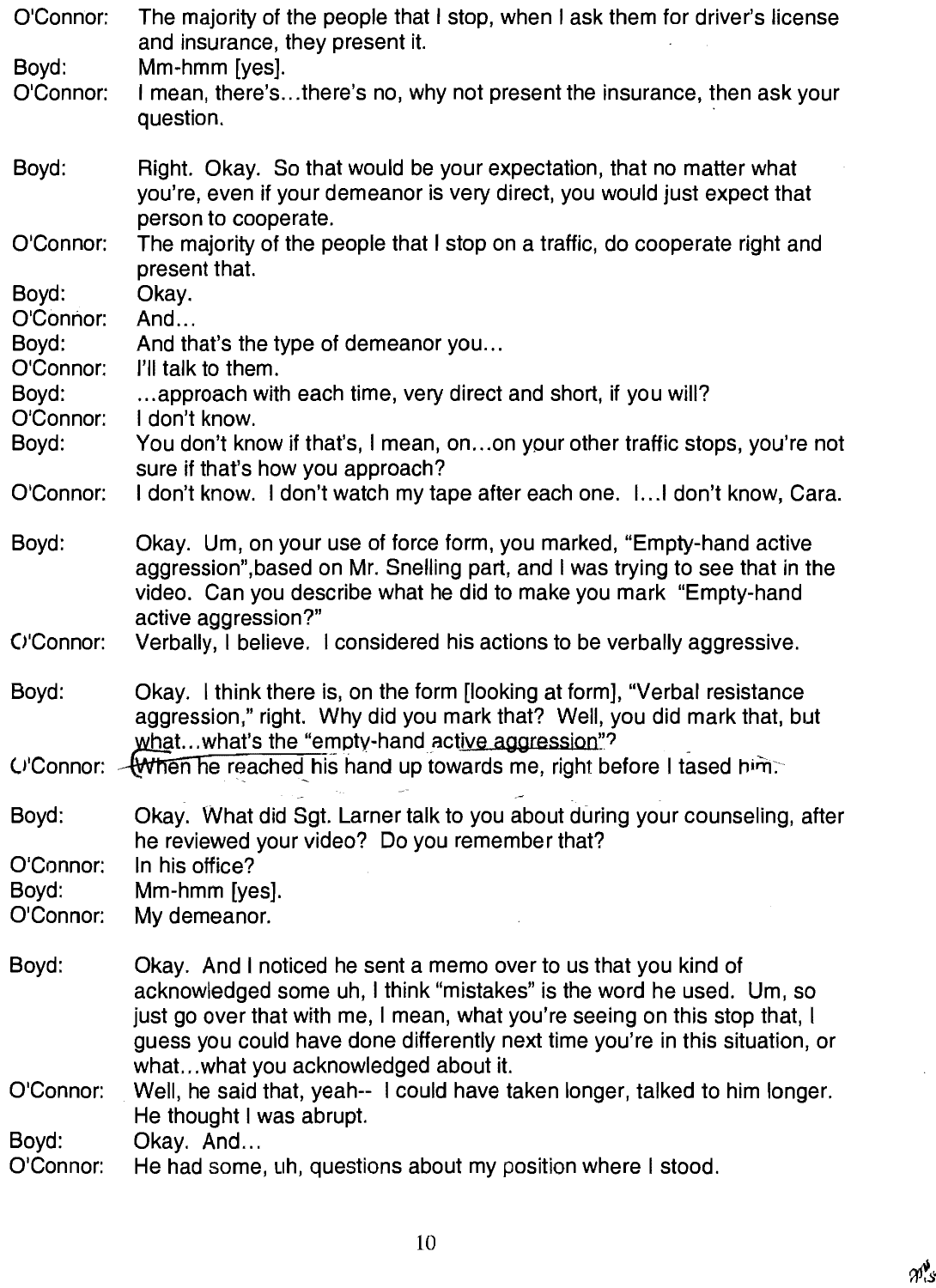| O'Connor:                       | The majority of the people that I stop, when I ask them for driver's license<br>and insurance, they present it.                                                                                                                                                                                                                             |
|---------------------------------|---------------------------------------------------------------------------------------------------------------------------------------------------------------------------------------------------------------------------------------------------------------------------------------------------------------------------------------------|
| Boyd:<br>O'Connor:              | Mm-hmm [yes].<br>I mean, there'sthere's no, why not present the insurance, then ask your<br>question.                                                                                                                                                                                                                                       |
| Boyd:                           | Right. Okay. So that would be your expectation, that no matter what<br>you're, even if your demeanor is very direct, you would just expect that<br>person to cooperate.                                                                                                                                                                     |
| O'Connor:                       | The majority of the people that I stop on a traffic, do cooperate right and<br>present that.                                                                                                                                                                                                                                                |
| Boyd:<br>O'Connor:              | Okay.<br>And                                                                                                                                                                                                                                                                                                                                |
| Boyd:<br>O'Connor:              | And that's the type of demeanor you<br>I'll talk to them.                                                                                                                                                                                                                                                                                   |
| Boyd:<br>O'Connor:              | approach with each time, very direct and short, if you will?<br>I don't know.                                                                                                                                                                                                                                                               |
| Boyd:                           | You don't know if that's, I mean, onon your other traffic stops, you're not<br>sure if that's how you approach?                                                                                                                                                                                                                             |
| O'Connor:                       | I don't know. I don't watch my tape after each one. I I don't know, Cara.                                                                                                                                                                                                                                                                   |
| Boyd:                           | Okay. Um, on your use of force form, you marked, "Empty-hand active<br>aggression", based on Mr. Snelling part, and I was trying to see that in the<br>video. Can you describe what he did to make you mark "Empty-hand<br>active aggression?"                                                                                              |
| C'Connor:                       | Verbally, I believe. I considered his actions to be verbally aggressive.                                                                                                                                                                                                                                                                    |
| Boyd:                           | Okay. I think there is, on the form [looking at form], "Verbal resistance<br>aggression," right. Why did you mark that? Well, you did mark that, but<br>whatwhat's the "empty-hand active aggression"?                                                                                                                                      |
|                                 | C'Connor: - Winen he reached his hand up towards me, right before I tased him.                                                                                                                                                                                                                                                              |
| Boyd:                           | Okay. What did Sgt. Larner talk to you about during your counseling, after<br>he reviewed your video? Do you remember that?                                                                                                                                                                                                                 |
| O'Connor:<br>Boyd:<br>O'Connor: | In his office?<br>Mm-hmm [yes].<br>My demeanor.                                                                                                                                                                                                                                                                                             |
| Boyd:                           | Okay. And I noticed he sent a memo over to us that you kind of<br>acknowledged some uh, I think "mistakes" is the word he used. Um, so<br>just go over that with me, I mean, what you're seeing on this stop that, I<br>guess you could have done differently next time you're in this situation, or<br>whatwhat you acknowledged about it. |
| O'Connor:                       | Well, he said that, yeah-- I could have taken longer, talked to him longer.<br>He thought I was abrupt.                                                                                                                                                                                                                                     |
| Boyd:<br>O'Connor:              | Okay. And<br>He had some, uh, questions about my position where I stood.                                                                                                                                                                                                                                                                    |

 $\ddot{\phantom{a}}$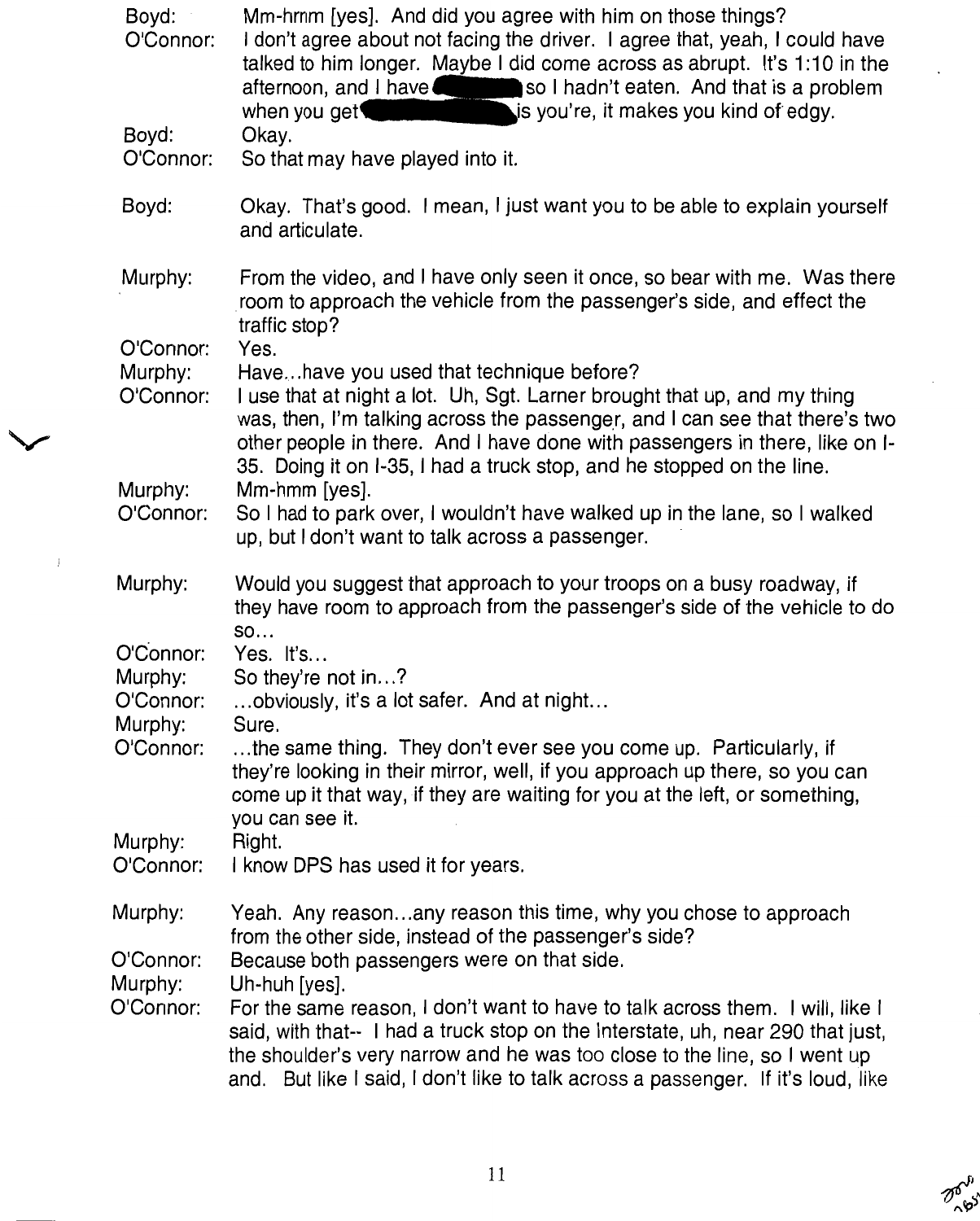| Boyd:<br>O'Connor:   | Mm-hrnm [yes]. And did you agree with him on those things?<br>I don't agree about not facing the driver. I agree that, yeah, I could have<br>talked to him longer. Maybe I did come across as abrupt. It's 1:10 in the<br>afternoon, and I have such as I hadn't eaten. And that is a problem<br>is you're, it makes you kind of edgy.<br>when you get $\blacksquare$ |
|----------------------|-----------------------------------------------------------------------------------------------------------------------------------------------------------------------------------------------------------------------------------------------------------------------------------------------------------------------------------------------------------------------|
| Boyd:<br>O'Connor:   | Okay.<br>So that may have played into it.                                                                                                                                                                                                                                                                                                                             |
| Boyd:                | Okay. That's good. I mean, I just want you to be able to explain yourself<br>and articulate.                                                                                                                                                                                                                                                                          |
| Murphy:              | From the video, and I have only seen it once, so bear with me. Was there<br>room to approach the vehicle from the passenger's side, and effect the<br>traffic stop?                                                                                                                                                                                                   |
| O'Connor:            | Yes.                                                                                                                                                                                                                                                                                                                                                                  |
| Murphy:              | Havehave you used that technique before?                                                                                                                                                                                                                                                                                                                              |
| O'Connor:            | I use that at night a lot. Uh, Sgt. Larner brought that up, and my thing<br>was, then, I'm talking across the passenger, and I can see that there's two<br>other people in there. And I have done with passengers in there, like on I-<br>35. Doing it on I-35, I had a truck stop, and he stopped on the line.                                                       |
| Murphy:<br>O'Connor: | Mm-hmm [yes].<br>So I had to park over, I wouldn't have walked up in the lane, so I walked<br>up, but I don't want to talk across a passenger.                                                                                                                                                                                                                        |
| Murphy:              | Would you suggest that approach to your troops on a busy roadway, if<br>they have room to approach from the passenger's side of the vehicle to do<br>SO                                                                                                                                                                                                               |
| O'Connor:            | Yes. It's                                                                                                                                                                                                                                                                                                                                                             |
| Murphy:              | So they're not in?                                                                                                                                                                                                                                                                                                                                                    |
| O'Connor:            | obviously, it's a lot safer. And at night                                                                                                                                                                                                                                                                                                                             |
| Murphy:<br>O'Connor: | Sure.<br>the same thing. They don't ever see you come up. Particularly, if<br>they're looking in their mirror, well, if you approach up there, so you can<br>come up it that way, if they are waiting for you at the left, or something,<br>you can see it.                                                                                                           |
| Murphy:<br>O'Connor: | Right.<br>I know DPS has used it for years.                                                                                                                                                                                                                                                                                                                           |
| Murphy:              | Yeah. Any reasonany reason this time, why you chose to approach<br>from the other side, instead of the passenger's side?                                                                                                                                                                                                                                              |
| O'Connor:            | Because both passengers were on that side.                                                                                                                                                                                                                                                                                                                            |
| Murphy:              | Uh-huh [yes].                                                                                                                                                                                                                                                                                                                                                         |
| O'Connor:            | For the same reason, I don't want to have to talk across them. I will, like I<br>said, with that-- I had a truck stop on the Interstate, uh, near 290 that just,<br>the shoulder's very narrow and he was too close to the line, so I went up<br>and. But like I said, I don't like to talk across a passenger. If it's loud, like                                    |

2019:1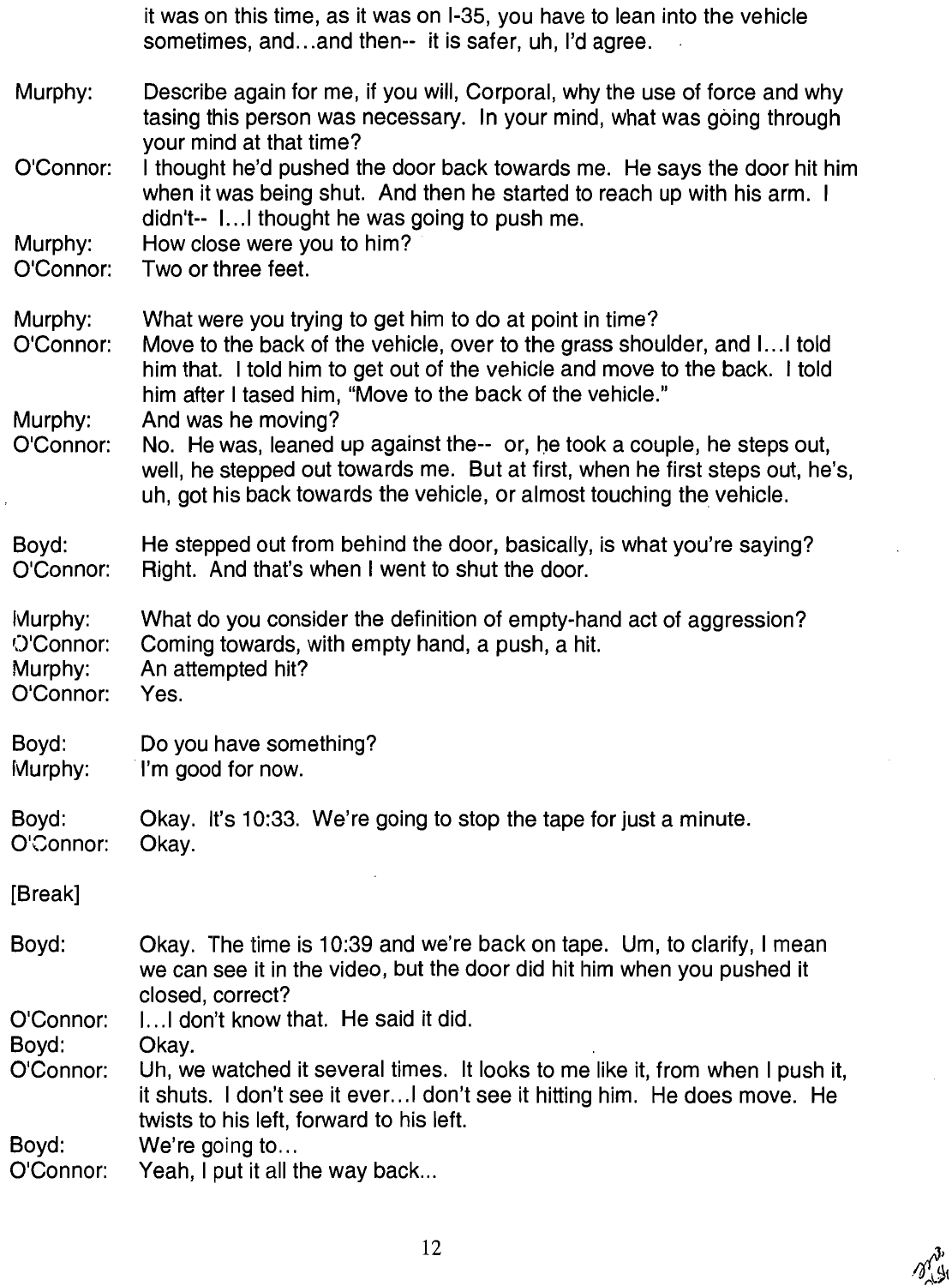|                                              | it was on this time, as it was on I-35, you have to lean into the vehicle<br>sometimes, andand then-- it is safer, uh, I'd agree.                                                                                                                                                                      |
|----------------------------------------------|--------------------------------------------------------------------------------------------------------------------------------------------------------------------------------------------------------------------------------------------------------------------------------------------------------|
| Murphy:                                      | Describe again for me, if you will, Corporal, why the use of force and why<br>tasing this person was necessary. In your mind, what was going through                                                                                                                                                   |
| O'Connor:                                    | your mind at that time?<br>I thought he'd pushed the door back towards me. He says the door hit him<br>when it was being shut. And then he started to reach up with his arm. I<br>didn't-- 1 I thought he was going to push me.                                                                        |
| Murphy:<br>O'Connor:                         | How close were you to him?<br>Two or three feet.                                                                                                                                                                                                                                                       |
| Murphy:<br>O'Connor:<br>Murphy:              | What were you trying to get him to do at point in time?<br>Move to the back of the vehicle, over to the grass shoulder, and I I told<br>him that. I told him to get out of the vehicle and move to the back. I told<br>him after I tased him, "Move to the back of the vehicle."<br>And was he moving? |
| O'Connor:                                    | No. He was, leaned up against the-- or, he took a couple, he steps out,<br>well, he stepped out towards me. But at first, when he first steps out, he's,<br>uh, got his back towards the vehicle, or almost touching the vehicle.                                                                      |
| Boyd:<br>O'Connor:                           | He stepped out from behind the door, basically, is what you're saying?<br>Right. And that's when I went to shut the door.                                                                                                                                                                              |
| Murphy:<br>O'Connor:<br>Murphy:<br>O'Connor: | What do you consider the definition of empty-hand act of aggression?<br>Coming towards, with empty hand, a push, a hit.<br>An attempted hit?<br>Yes.                                                                                                                                                   |
| Boyd:<br>Murphy:                             | Do you have something?<br>I'm good for now.                                                                                                                                                                                                                                                            |
| Boyd:<br>O'Connor:                           | Okay. It's 10:33. We're going to stop the tape for just a minute.<br>Okay.                                                                                                                                                                                                                             |
| [Break]                                      |                                                                                                                                                                                                                                                                                                        |
| Boyd:                                        | Okay. The time is 10:39 and we're back on tape. Um, to clarify, I mean<br>we can see it in the video, but the door did hit him when you pushed it<br>closed, correct?                                                                                                                                  |
| O'Connor:                                    | I I don't know that. He said it did.                                                                                                                                                                                                                                                                   |
| Boyd:<br>O'Connor:                           | Okay.<br>Uh, we watched it several times. It looks to me like it, from when I push it,<br>it shuts. I don't see it everI don't see it hitting him. He does move. He<br>twists to his left, forward to his left.                                                                                        |
| Boyd:<br>O'Connor:                           | We're going to<br>Yeah, I put it all the way back                                                                                                                                                                                                                                                      |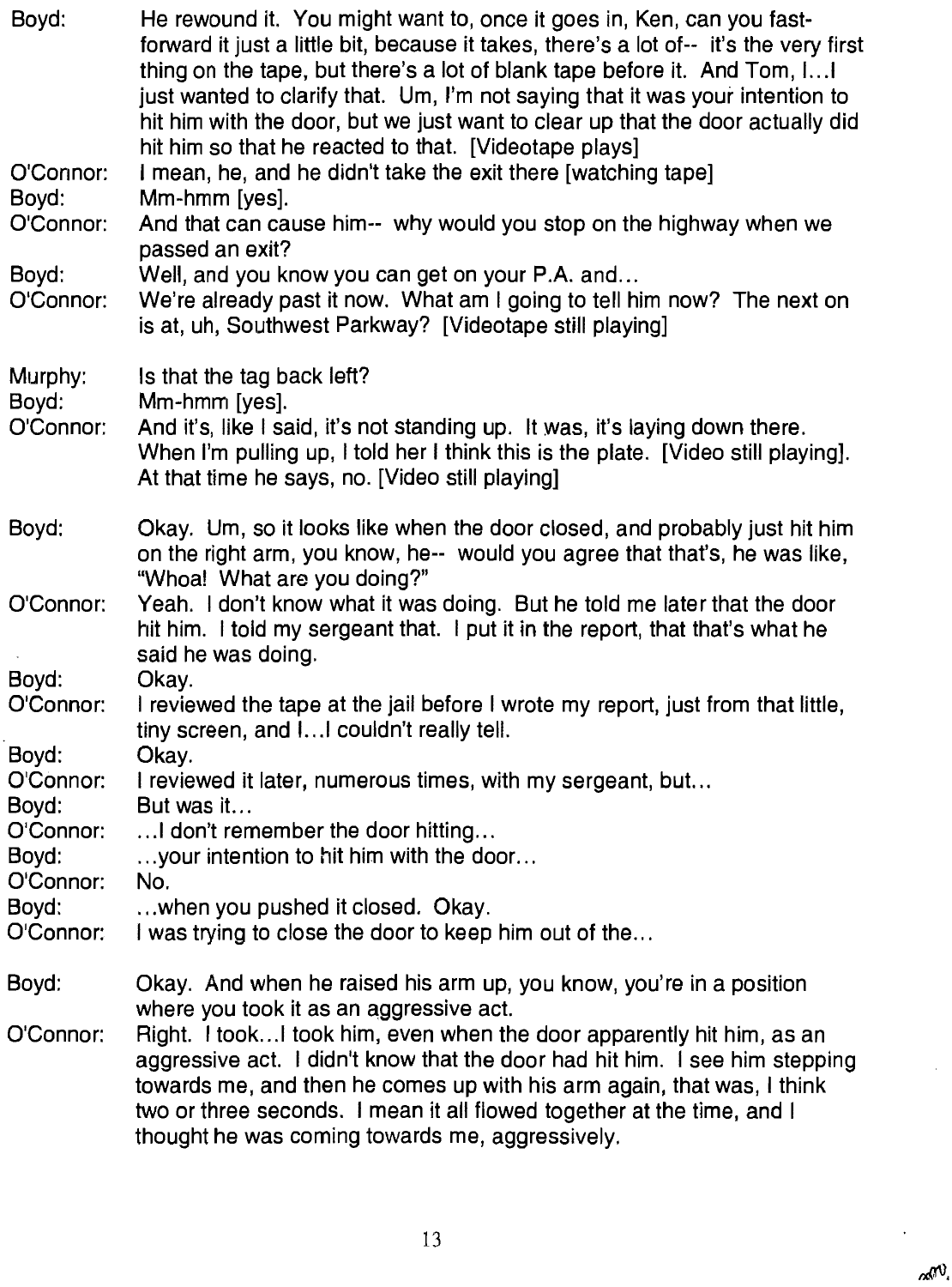| Boyd:                           | He rewound it. You might want to, once it goes in, Ken, can you fast-<br>forward it just a little bit, because it takes, there's a lot of-- it's the very first<br>thing on the tape, but there's a lot of blank tape before it. And Tom, I<br>just wanted to clarify that. Um, I'm not saying that it was your intention to<br>hit him with the door, but we just want to clear up that the door actually did<br>hit him so that he reacted to that. [Videotape plays] |
|---------------------------------|-------------------------------------------------------------------------------------------------------------------------------------------------------------------------------------------------------------------------------------------------------------------------------------------------------------------------------------------------------------------------------------------------------------------------------------------------------------------------|
| O'Connor:<br>Boyd:<br>O'Connor: | I mean, he, and he didn't take the exit there [watching tape]<br>Mm-hmm [yes].<br>And that can cause him-- why would you stop on the highway when we                                                                                                                                                                                                                                                                                                                    |
| Boyd:<br>O'Connor:              | passed an exit?<br>Well, and you know you can get on your P.A. and<br>We're already past it now. What am I going to tell him now? The next on<br>is at, uh, Southwest Parkway? [Videotape still playing]                                                                                                                                                                                                                                                                |
| Murphy:<br>Boyd:<br>O'Connor:   | Is that the tag back left?<br>Mm-hmm [yes].<br>And it's, like I said, it's not standing up. It was, it's laying down there.<br>When I'm pulling up, I told her I think this is the plate. [Video still playing].<br>At that time he says, no. [Video still playing]                                                                                                                                                                                                     |
| Boyd:                           | Okay. Um, so it looks like when the door closed, and probably just hit him<br>on the right arm, you know, he-- would you agree that that's, he was like,<br>"Whoa! What are you doing?"                                                                                                                                                                                                                                                                                 |
| O'Connor:                       | Yeah. I don't know what it was doing. But he told me later that the door<br>hit him. I told my sergeant that. I put it in the report, that that's what he<br>said he was doing.                                                                                                                                                                                                                                                                                         |
| Boyd:<br>O'Connor:              | Okay.<br>I reviewed the tape at the jail before I wrote my report, just from that little,<br>tiny screen, and I I couldn't really tell.                                                                                                                                                                                                                                                                                                                                 |
| Boyd:<br>O'Connor:<br>Boyd:     | Okay.<br>I reviewed it later, numerous times, with my sergeant, but<br>But was it                                                                                                                                                                                                                                                                                                                                                                                       |
| O'Connor:<br>Boyd:<br>O'Connor: | I don't remember the door hitting<br>your intention to hit him with the door<br>No.                                                                                                                                                                                                                                                                                                                                                                                     |
| Boyd:<br>O'Connor:              | when you pushed it closed. Okay.<br>I was trying to close the door to keep him out of the                                                                                                                                                                                                                                                                                                                                                                               |
| Boyd:                           | Okay. And when he raised his arm up, you know, you're in a position<br>where you took it as an aggressive act.                                                                                                                                                                                                                                                                                                                                                          |
| O'Connor:                       | Right. I tookI took him, even when the door apparently hit him, as an<br>aggressive act. I didn't know that the door had hit him. I see him stepping<br>towards me, and then he comes up with his arm again, that was, I think<br>two or three seconds. I mean it all flowed together at the time, and I<br>thought he was coming towards me, aggressively.                                                                                                             |

 $\bar{z}$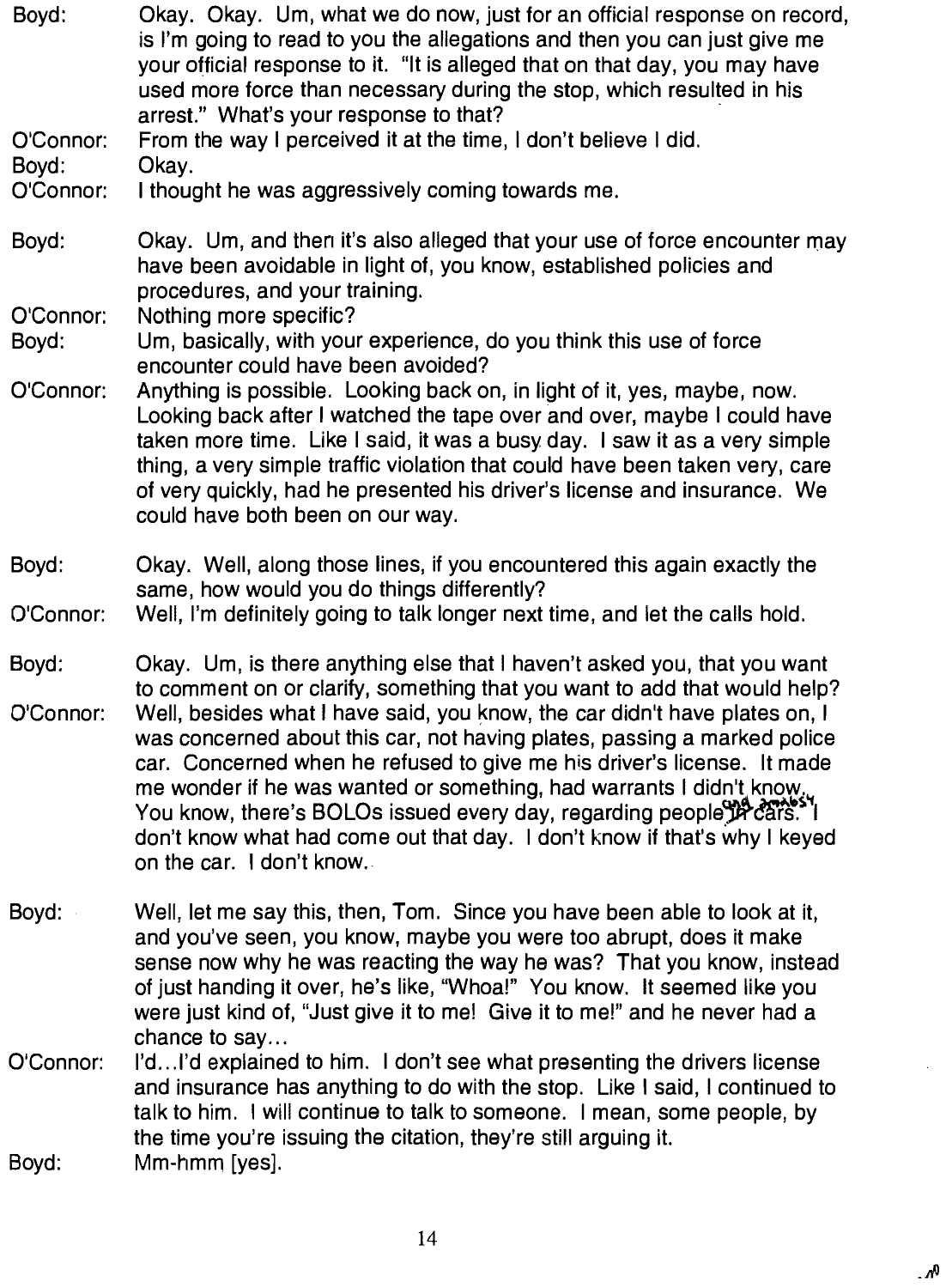- Boyd: Okay. Okay. Um, what we do now, just for an official response on record, is I'm going to read to you the allegations and then you can just give me your official response to it. "It is alleged that on that day, you may have used more force than necessary during the stop, which resulted in his arrest." What's your response to that?
- O'Connor: Boyd: From the way I perceived it at the time, I don't believe I did Okay.
- O'Connor: 1 thought he was aggressively coming towards me.
- Boyd: Okay. Um, and then it's also alleged that your use of force encounter may have been avoidable in light of, you know, established policies and procedures, and your training.

O'Connor: Nothing more specific?

Boyd: Um, basically, with your experience, do you think this use of force encounter could have been avoided?

- O'Connor: Anything is possible. Looking back on, in light of it, yes, maybe, now. Looking back after I watched the tape over and over, maybe I could have taken more time. Like I said, it was a busy day. I saw it as a very simple thing, a very simple traffic violation that could have been taken very, care of very quickly, had he presented his driver's license and insurance. We could have both been on our way.
- Boyd: Okay. Wel1, along those lines, if you encountered this again exactly the same, how would you do things differently?

#### O'Connor: Well, I'm definitely going to talk longer next time, and let the calls hold.

- Boyd: O'Connor Okay. Um, is there anything else that I haven't asked you, that you want to comment on or clarify, something that you want to add that would help? Well, besides what I have said, you know, the car didn't have plates on, I was concerned about this car, not having plates, passing a marked police taken more time.<br>thing, a very simp<br>of very quickly, ha<br>could have both b<br>Okay. Well, along<br>same, how would<br>Well, I'm definitely<br>Okay. Um, is ther<br>to comment on or<br>Well, besides wha<br>was concerned at<br>car. Concerned w<br>me won car. Concerned when he refused to give me his driver's license. It made on the car. I don't know
- Boyd: Well, let me say this, then, Tom. Since you have been able to look at it, and you've seen, you know, maybe you were too abrupt, does it make sense now why he was reacting the way he was? That you know, instead of just handing it over, he's like, "Whoa!" You know. It seemed like you were just kind of, "Just give it to me! Give it to mel" and he never had a chance to say...
- O'Connor: Boyd: 1'd.. .1'd explained to him. I don't see what presenting the drivers license and insurance has anything to do with the stop. Like I said, I continued to talk to him. I will continue to talk to someone. I mean, some people, by the time you're issuing the citation, they're still arguing it. Mm-hmm [yes].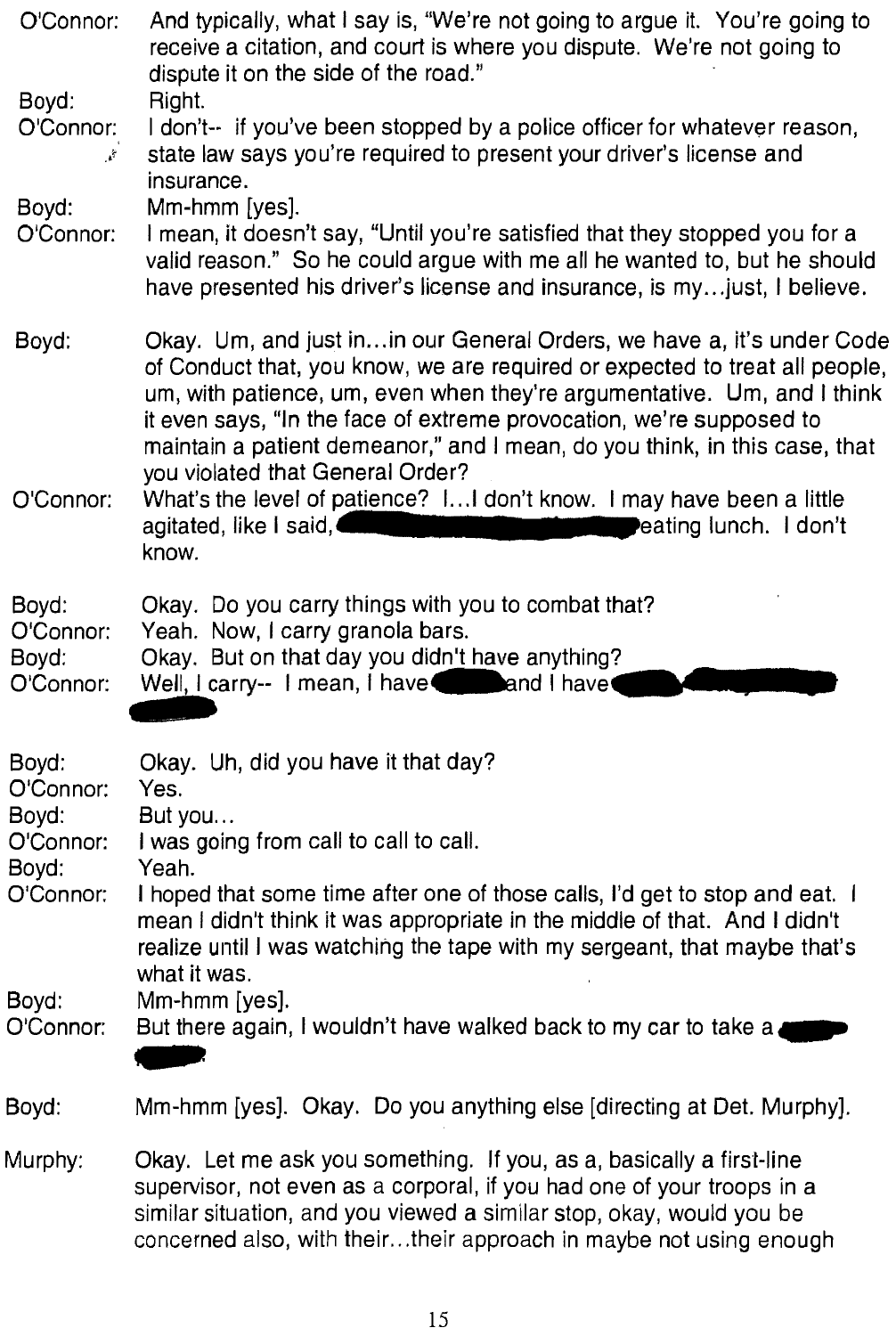| O'Connor:                                | And typically, what I say is, "We're not going to argue it. You're going to<br>receive a citation, and court is where you dispute. We're not going to<br>dispute it on the side of the road."                                                                                                                                                                                                                               |
|------------------------------------------|-----------------------------------------------------------------------------------------------------------------------------------------------------------------------------------------------------------------------------------------------------------------------------------------------------------------------------------------------------------------------------------------------------------------------------|
| Boyd:<br>O'Connor:<br>$\mathcal{E}$      | Right.<br>I don't-- if you've been stopped by a police officer for whatever reason,<br>state law says you're required to present your driver's license and<br>insurance.                                                                                                                                                                                                                                                    |
| Boyd:<br>O'Connor:                       | Mm-hmm [yes].<br>I mean, it doesn't say, "Until you're satisfied that they stopped you for a<br>valid reason." So he could argue with me all he wanted to, but he should<br>have presented his driver's license and insurance, is my just, I believe.                                                                                                                                                                       |
| Boyd:                                    | Okay. Um, and just in in our General Orders, we have a, it's under Code<br>of Conduct that, you know, we are required or expected to treat all people,<br>um, with patience, um, even when they're argumentative. Um, and I think<br>it even says, "In the face of extreme provocation, we're supposed to<br>maintain a patient demeanor," and I mean, do you think, in this case, that<br>you violated that General Order? |
| O'Connor:                                | What's the level of patience? I I don't know. I may have been a little<br>agitated, like I said,<br>eating lunch. I don't<br>know.                                                                                                                                                                                                                                                                                          |
| Boyd:<br>O'Connor:<br>Boyd:<br>O'Connor: | Okay. Do you carry things with you to combat that?<br>Yeah. Now, I carry granola bars.<br>Okay. But on that day you didn't have anything?<br>Well, I carry-- I mean, I have and I have                                                                                                                                                                                                                                      |
| Boyd:<br>O'Connor:<br>Boyd:              | Okay. Uh, did you have it that day?<br>Yes.<br>But you                                                                                                                                                                                                                                                                                                                                                                      |
| O'Connor:                                | I was going from call to call to call.                                                                                                                                                                                                                                                                                                                                                                                      |
| Boyd:<br>O'Connor:                       | Yeah.<br>I hoped that some time after one of those calls, I'd get to stop and eat. I<br>mean I didn't think it was appropriate in the middle of that. And I didn't<br>realize until I was watching the tape with my sergeant, that maybe that's<br>what it was.                                                                                                                                                             |
| Boyd:<br>O'Connor:                       | Mm-hmm [yes].<br>But there again, I wouldn't have walked back to my car to take a                                                                                                                                                                                                                                                                                                                                           |
| Boyd:                                    | Mm-hmm [yes]. Okay. Do you anything else [directing at Det. Murphy].                                                                                                                                                                                                                                                                                                                                                        |
| Murphy:                                  | Okay. Let me ask you something. If you, as a, basically a first-line<br>supervisor, not even as a corporal, if you had one of your troops in a<br>similar situation, and you viewed a similar stop, okay, would you be<br>concerned also, with theirtheir approach in maybe not using enough                                                                                                                                |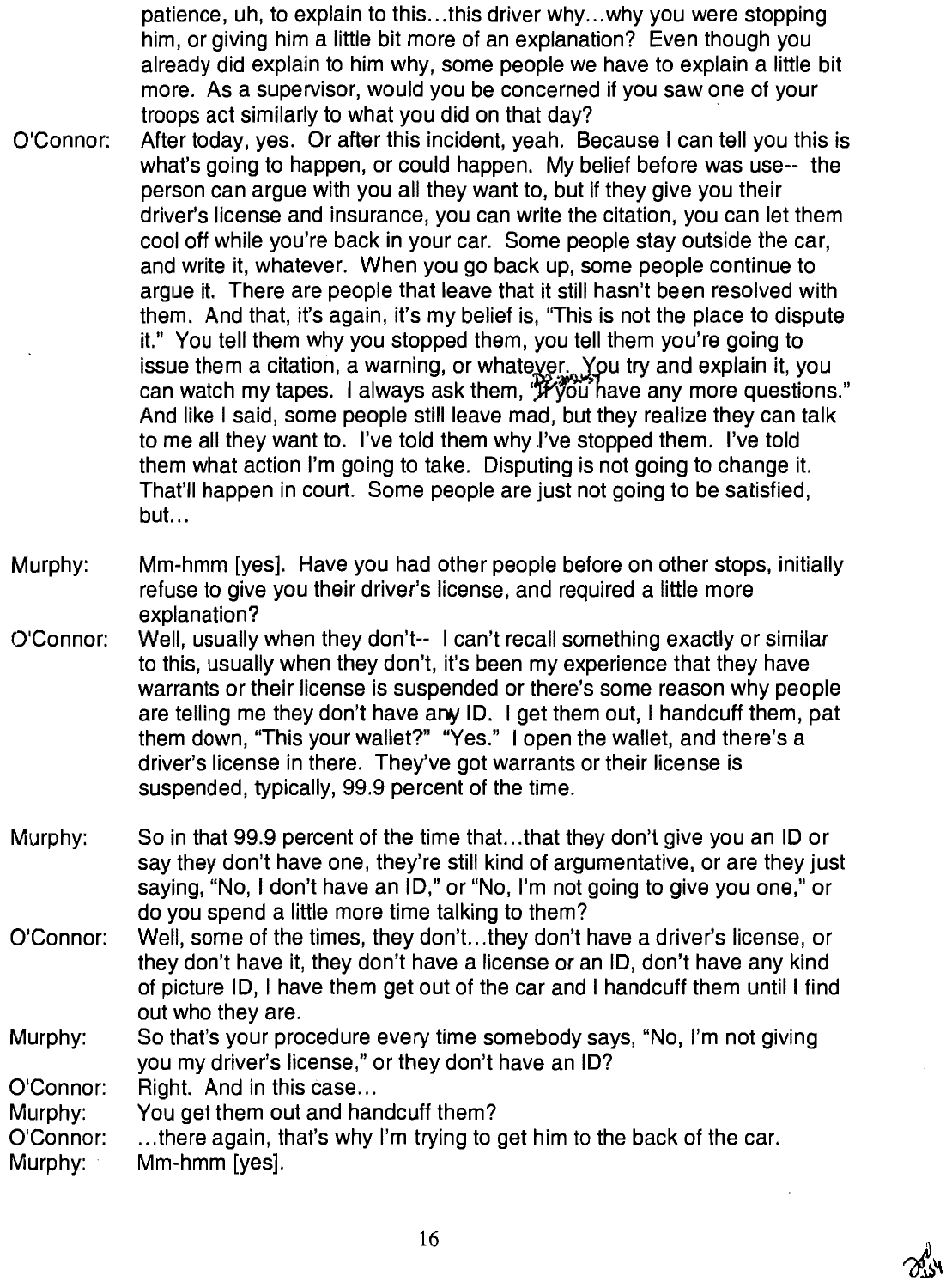patience, uh, to explain to this...this driver why...why you were stopping him, or giving him a little bit more of an explanation? Even though you already did explain to him why, some people we have to explain a little bit more. AS a supervisor, would you be concerned if you saw one of your troops act similarly to what you did on that day?

- O'Connor After today, yes. Or after this incident, yeah. Because I can tell you this is what's going to happen, or could happen. My belief before was use-- the person can argue with you all they want t0, but if they give you their driver's license and insurance, you can write the citation, you can let them cool off while you're back in your car. Some people stay outside the car, and write it, whatever. When you go back up, some people continue to argue it. There are people that leave that it still hasn't been resolved with them. And that, it's again, it's my belief is, "This is not the place to dispute it." You tell them why you stopped them, you tell them you're going to issue them a citation, a warning, or whatever. You try and explain it, you can watch my tapes. I always ask them, "Wou have any more questions." And like I said, some people still leave mad, but they realize they can talk to me all they want to. I've told them why I've stopped them. I've told them what action I'm going to take. Disputing is not going to change it. That'll happen in court. Some people are just not going to be satisfied, but...
- Murphy: Mm-hmm [yes]. Have you had other people before on other stops, initially refuse to give you their driver's license, and required a little more explanation?
- O'Connor Well, usually when they don't-- I can't recall something exactly or similar to this, usually when they don't, it's been my experience that they have warrants or their license is suspended or there's some reason why people are telling me they don't have any ID. I get them out, I handcuff them, pat them down, "This your wallet?" "Yes." I open the wallet, and there's a driver's license in there. They've got warrants or their license is suspended, typically, 99.9 percent of the time.
- Murphy: So in that 99.9 percent of the time that...that they don't give you an ID or say they don't have one, they're still kind of argumentative, or are they just saying, "N0, I don't have an ID," or "N0, I'm not going to give you one," or do you spend a little more time talking to them?
- O'Connor: Well, some of the times, they don't...they don't have a driver's license, or they don't have it, they don't have a license or an ID, don't have any kind of picture ID, I have them get out of the car and I handcuff them until I find out who they are
- Murphy: So that's your procedure every time somebody says, "N0, I'm not giving you my driver's license," or they don't have an ID?

O'Connor: Right. And in this case...

- Murphy: You get them out and handcuff them?
- O'Connor: ...there again, that's why I'm trying to get him to the back of the car.

Murphy: Mm-hmm [yes].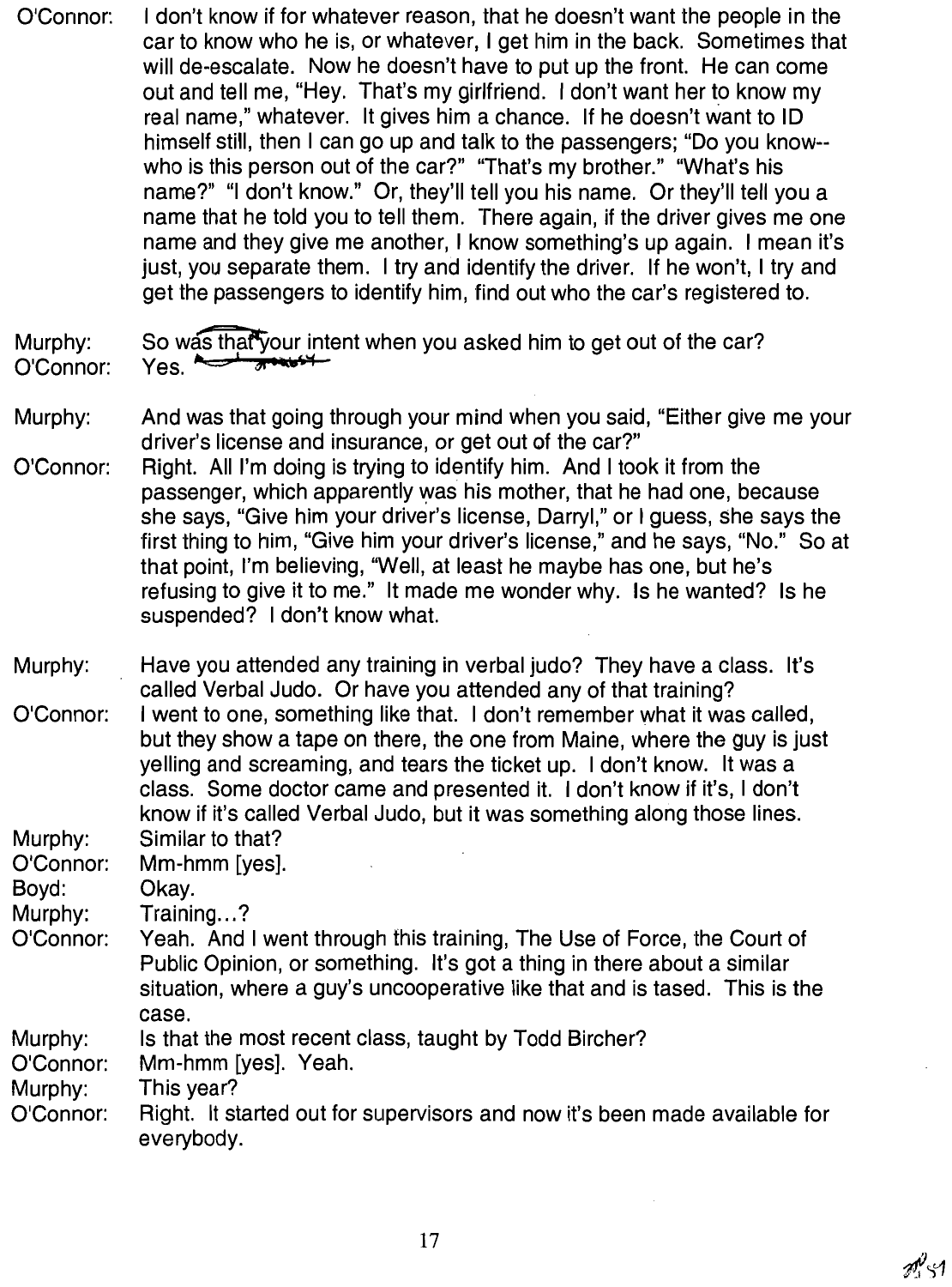I don't know if for whatever reason, that he doesn't want the people in the O'Connor: car to know who he is, or whatever, I get him in the back. Sometimes that will de-escalate. Now he doesn't have to put up the front. He can come out and tell me, "Hey. That's my girlfriend. I don't want her to know my real name," whatever. It gives him a chance. If he doesn't want to ID himself still, then I can go up and talk to the passengers; "Do you know-who is this person out of the car?" "That's my brother." "What's his name?" "I don't know." Or, they'll tell you his name. Or they'll tell you a name that he told you to tell them. There again, if the driver gives me one name and they give me another. I know something's up again. I mean it's just, you separate them. I try and identify the driver. If he won't. I try and get the passengers to identify him, find out who the car's registered to.

#### So was that your intent when you asked him to get out of the car? Murphy:  $Yes.$   $\rightarrow$ O'Connor:

- Murphy: And was that going through your mind when you said, "Either give me your driver's license and insurance, or get out of the car?"
- Right. All I'm doing is trying to identify him. And I took it from the O'Connor: passenger, which apparently was his mother, that he had one, because she says, "Give him your driver's license, Darryl," or I quess, she says the first thing to him, "Give him your driver's license," and he says, "No." So at that point, I'm believing, "Well, at least he maybe has one, but he's refusing to give it to me." It made me wonder why. Is he wanted? Is he suspended? I don't know what.
- Murphy: Have you attended any training in verbal judo? They have a class. It's called Verbal Judo. Or have you attended any of that training? I went to one, something like that. I don't remember what it was called. O'Connor: but they show a tape on there, the one from Maine, where the guy is just velling and screaming, and tears the ticket up. I don't know. It was a class. Some doctor came and presented it. I don't know if it's, I don't know if it's called Verbal Judo, but it was something along those lines. Murphy: Similar to that?

O'Connor: Mm-hmm [yes]. Boyd: Okay. Training...? Murphy: Yeah. And I went through this training, The Use of Force, the Court of O'Connor: Public Opinion, or something. It's got a thing in there about a similar situation, where a guy's uncooperative like that and is tased. This is the case.

Murphy: Is that the most recent class, taught by Todd Bircher?

O'Connor: Mm-hmm [yes]. Yeah.

Murphy: This year?

Right. It started out for supervisors and now it's been made available for O'Connor: everybody.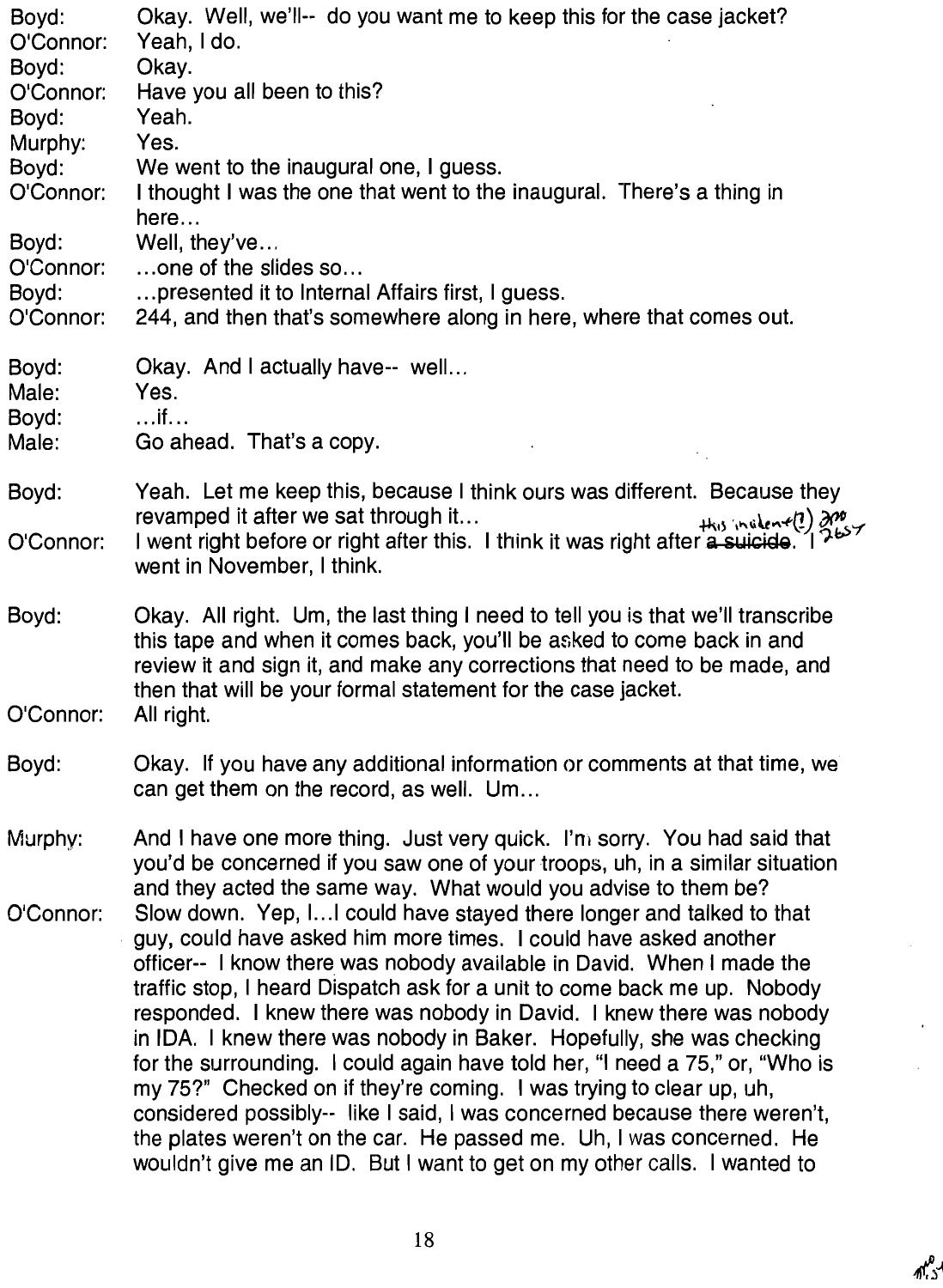| Boyd:<br>O'Connor:                       | Okay. Well, we'll-- do you want me to keep this for the case jacket?<br>Yeah, I do.                                                                                                                                                                                                                                                                                                                                                                                                                                                                                                                                                                                                                                                                                                                                                    |
|------------------------------------------|----------------------------------------------------------------------------------------------------------------------------------------------------------------------------------------------------------------------------------------------------------------------------------------------------------------------------------------------------------------------------------------------------------------------------------------------------------------------------------------------------------------------------------------------------------------------------------------------------------------------------------------------------------------------------------------------------------------------------------------------------------------------------------------------------------------------------------------|
| Boyd:<br>O'Connor:<br>Boyd:<br>Murphy:   | Okay.<br>Have you all been to this?<br>Yeah.<br>Yes.                                                                                                                                                                                                                                                                                                                                                                                                                                                                                                                                                                                                                                                                                                                                                                                   |
| Boyd:<br>O'Connor:                       | We went to the inaugural one, I guess.<br>I thought I was the one that went to the inaugural. There's a thing in<br>here                                                                                                                                                                                                                                                                                                                                                                                                                                                                                                                                                                                                                                                                                                               |
| Boyd:<br>O'Connor:<br>Boyd:<br>O'Connor: | Well, they've<br>one of the slides so<br>presented it to Internal Affairs first, I guess.<br>244, and then that's somewhere along in here, where that comes out.                                                                                                                                                                                                                                                                                                                                                                                                                                                                                                                                                                                                                                                                       |
| Boyd:<br>Male:<br>Boyd:<br>Male:         | Okay. And I actually have-- well<br>Yes.<br>$\dots$ if $\dots$<br>Go ahead. That's a copy.                                                                                                                                                                                                                                                                                                                                                                                                                                                                                                                                                                                                                                                                                                                                             |
| Boyd:<br>O'Connor:                       | Yeah. Let me keep this, because I think ours was different. Because they<br>His inclear(!) and I went right before or right after this. I think it was right after a suicide. I<br>2657<br>went in November, I think.                                                                                                                                                                                                                                                                                                                                                                                                                                                                                                                                                                                                                  |
| Boyd:<br>O'Connor:                       | Okay. All right. Um, the last thing I need to tell you is that we'll transcribe<br>this tape and when it comes back, you'll be asked to come back in and<br>review it and sign it, and make any corrections that need to be made, and<br>then that will be your formal statement for the case jacket.<br>All right.                                                                                                                                                                                                                                                                                                                                                                                                                                                                                                                    |
| Boyd:                                    | Okay. If you have any additional information or comments at that time, we<br>can get them on the record, as well. Um                                                                                                                                                                                                                                                                                                                                                                                                                                                                                                                                                                                                                                                                                                                   |
| Murphy:                                  | And I have one more thing. Just very quick. I'm sorry. You had said that<br>you'd be concerned if you saw one of your troops, uh, in a similar situation<br>and they acted the same way. What would you advise to them be?                                                                                                                                                                                                                                                                                                                                                                                                                                                                                                                                                                                                             |
| O'Connor:                                | Slow down. Yep, I I could have stayed there longer and talked to that<br>guy, could have asked him more times. I could have asked another<br>officer-- I know there was nobody available in David. When I made the<br>traffic stop, I heard Dispatch ask for a unit to come back me up. Nobody<br>responded. I knew there was nobody in David. I knew there was nobody<br>in IDA. I knew there was nobody in Baker. Hopefully, she was checking<br>for the surrounding. I could again have told her, "I need a 75," or, "Who is<br>my 75?" Checked on if they're coming. I was trying to clear up, uh,<br>considered possibly--like I said, I was concerned because there weren't,<br>the plates weren't on the car. He passed me. Uh, I was concerned. He<br>wouldn't give me an ID. But I want to get on my other calls. I wanted to |